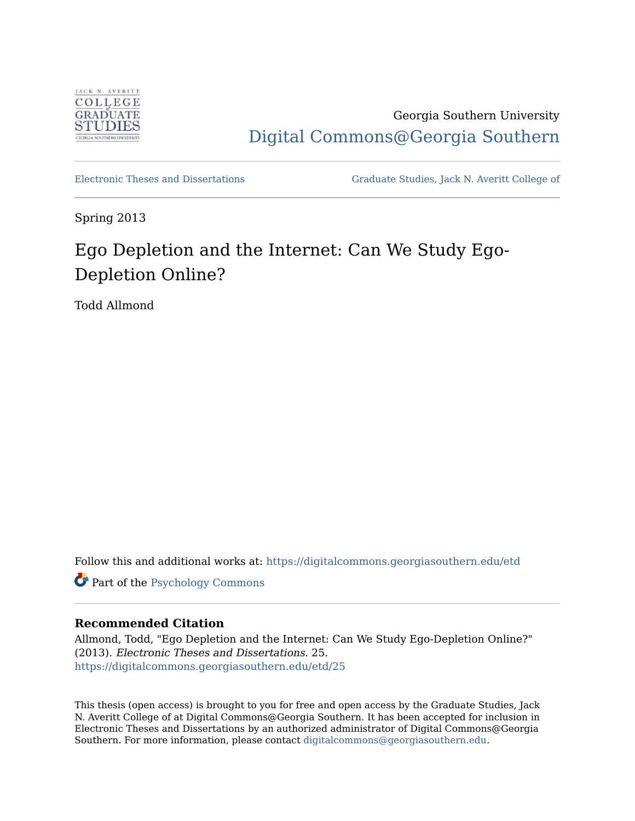

Georgia Southern University [Digital Commons@Georgia Southern](https://digitalcommons.georgiasouthern.edu/) 

[Electronic Theses and Dissertations](https://digitalcommons.georgiasouthern.edu/etd) [Graduate Studies, Jack N. Averitt College of](https://digitalcommons.georgiasouthern.edu/cogs) 

Spring 2013

# Ego Depletion and the Internet: Can We Study Ego-Depletion Online?

Todd Allmond

Follow this and additional works at: [https://digitalcommons.georgiasouthern.edu/etd](https://digitalcommons.georgiasouthern.edu/etd?utm_source=digitalcommons.georgiasouthern.edu%2Fetd%2F25&utm_medium=PDF&utm_campaign=PDFCoverPages) 

Part of the [Psychology Commons](http://network.bepress.com/hgg/discipline/404?utm_source=digitalcommons.georgiasouthern.edu%2Fetd%2F25&utm_medium=PDF&utm_campaign=PDFCoverPages)

### **Recommended Citation**

Allmond, Todd, "Ego Depletion and the Internet: Can We Study Ego-Depletion Online?" (2013). Electronic Theses and Dissertations. 25. [https://digitalcommons.georgiasouthern.edu/etd/25](https://digitalcommons.georgiasouthern.edu/etd/25?utm_source=digitalcommons.georgiasouthern.edu%2Fetd%2F25&utm_medium=PDF&utm_campaign=PDFCoverPages)

This thesis (open access) is brought to you for free and open access by the Graduate Studies, Jack N. Averitt College of at Digital Commons@Georgia Southern. It has been accepted for inclusion in Electronic Theses and Dissertations by an authorized administrator of Digital Commons@Georgia Southern. For more information, please contact [digitalcommons@georgiasouthern.edu](mailto:digitalcommons@georgiasouthern.edu).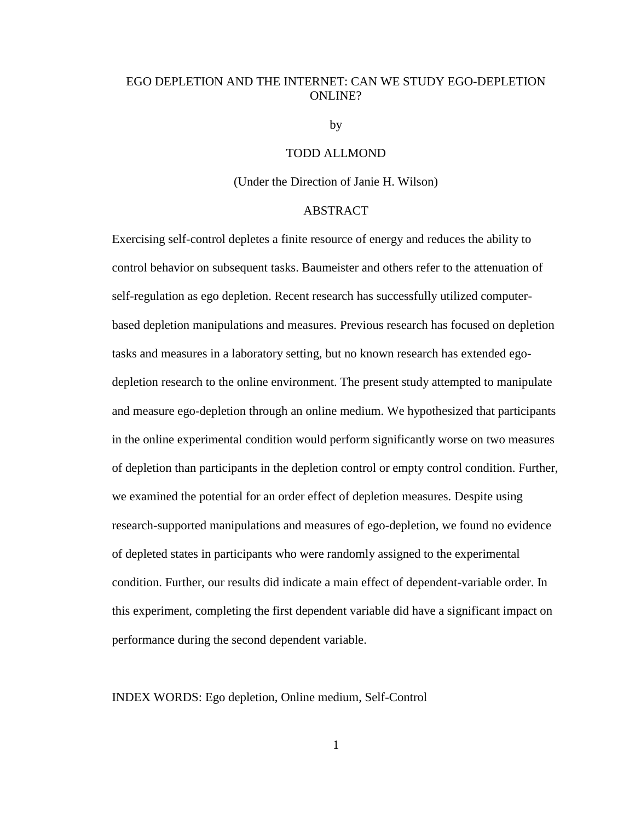### EGO DEPLETION AND THE INTERNET: CAN WE STUDY EGO-DEPLETION ONLINE?

by

#### TODD ALLMOND

#### (Under the Direction of Janie H. Wilson)

#### ABSTRACT

Exercising self-control depletes a finite resource of energy and reduces the ability to control behavior on subsequent tasks. Baumeister and others refer to the attenuation of self-regulation as ego depletion. Recent research has successfully utilized computerbased depletion manipulations and measures. Previous research has focused on depletion tasks and measures in a laboratory setting, but no known research has extended egodepletion research to the online environment. The present study attempted to manipulate and measure ego-depletion through an online medium. We hypothesized that participants in the online experimental condition would perform significantly worse on two measures of depletion than participants in the depletion control or empty control condition. Further, we examined the potential for an order effect of depletion measures. Despite using research-supported manipulations and measures of ego-depletion, we found no evidence of depleted states in participants who were randomly assigned to the experimental condition. Further, our results did indicate a main effect of dependent-variable order. In this experiment, completing the first dependent variable did have a significant impact on performance during the second dependent variable.

INDEX WORDS: Ego depletion, Online medium, Self-Control

1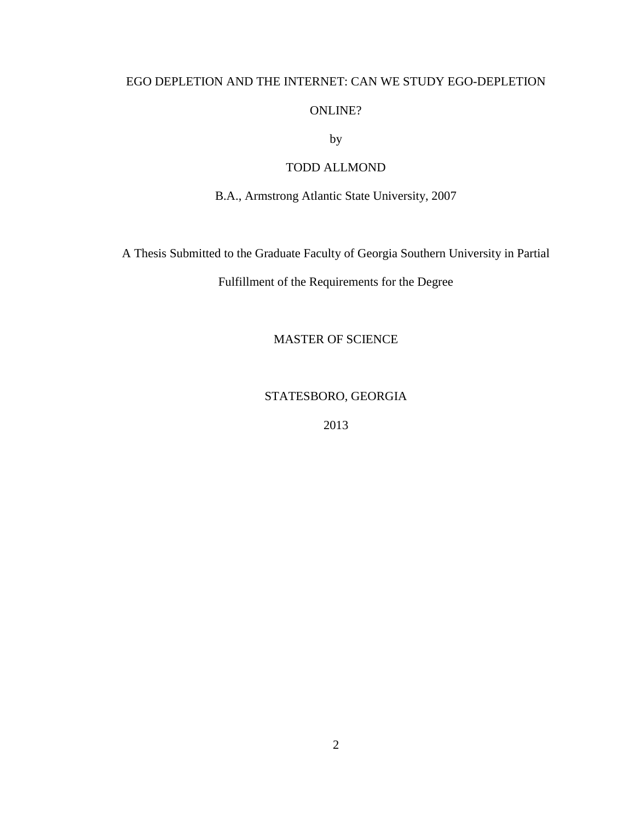### EGO DEPLETION AND THE INTERNET: CAN WE STUDY EGO-DEPLETION

### ONLINE?

by

### TODD ALLMOND

B.A., Armstrong Atlantic State University, 2007

A Thesis Submitted to the Graduate Faculty of Georgia Southern University in Partial

Fulfillment of the Requirements for the Degree

MASTER OF SCIENCE

STATESBORO, GEORGIA

2013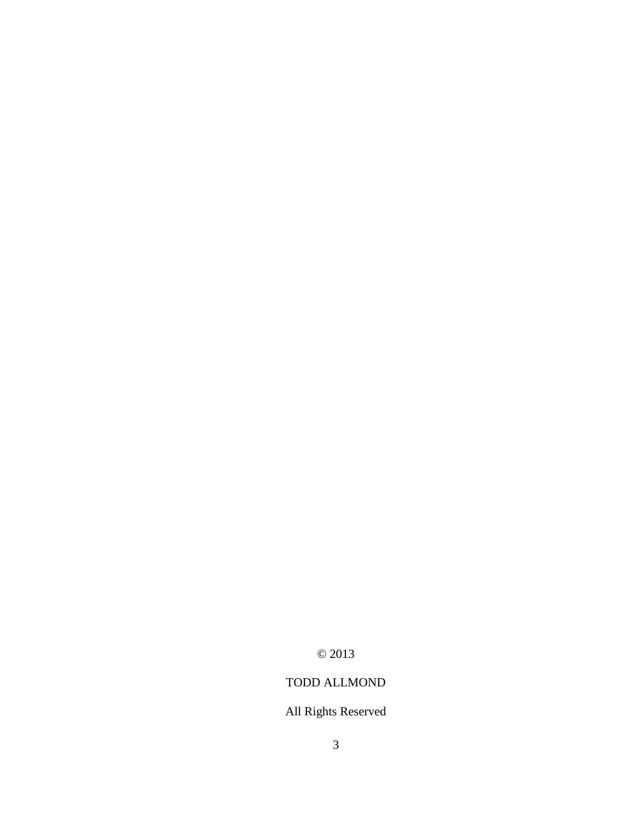© 2013

## TODD ALLMOND

## All Rights Reserved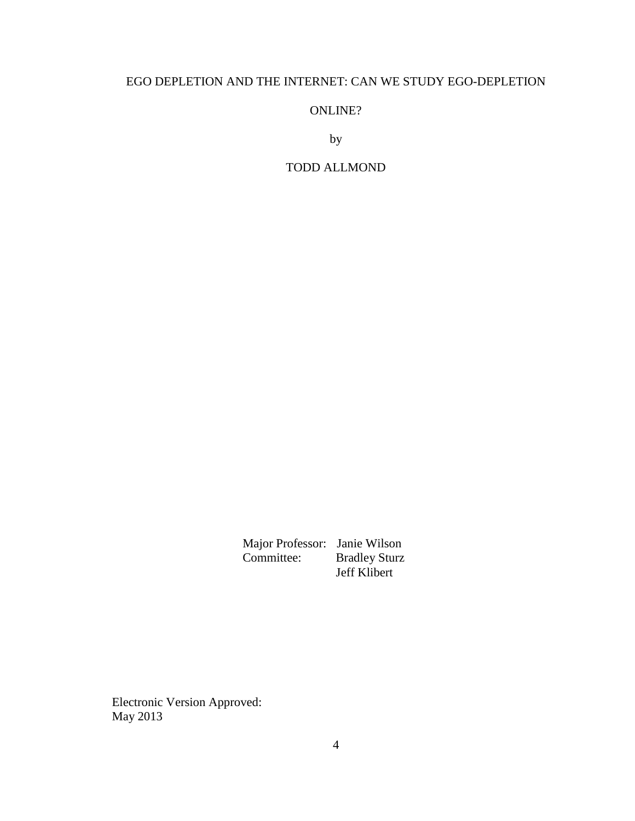### EGO DEPLETION AND THE INTERNET: CAN WE STUDY EGO-DEPLETION

ONLINE?

by

### TODD ALLMOND

 Major Professor: Janie Wilson Committee: Bradley Sturz Jeff Klibert

Electronic Version Approved: May 2013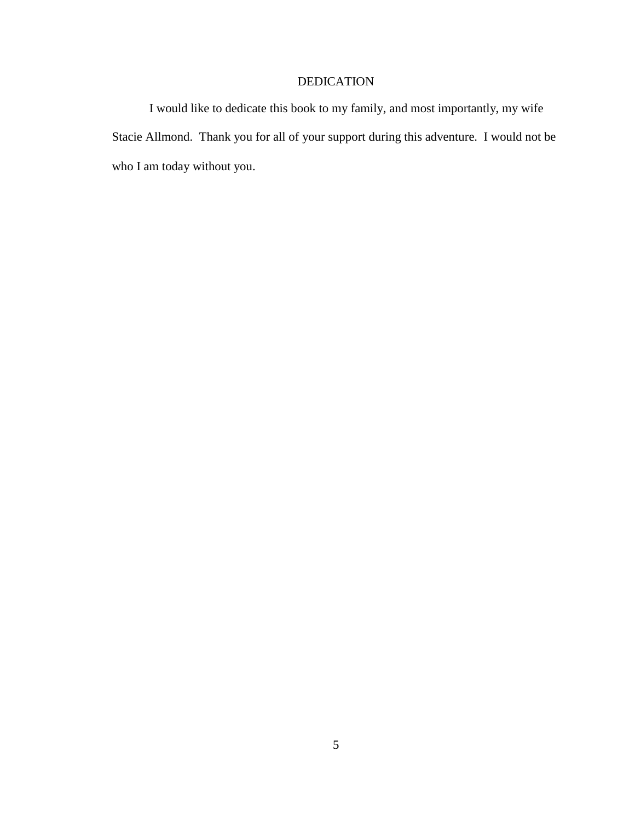### DEDICATION

I would like to dedicate this book to my family, and most importantly, my wife Stacie Allmond. Thank you for all of your support during this adventure. I would not be who I am today without you.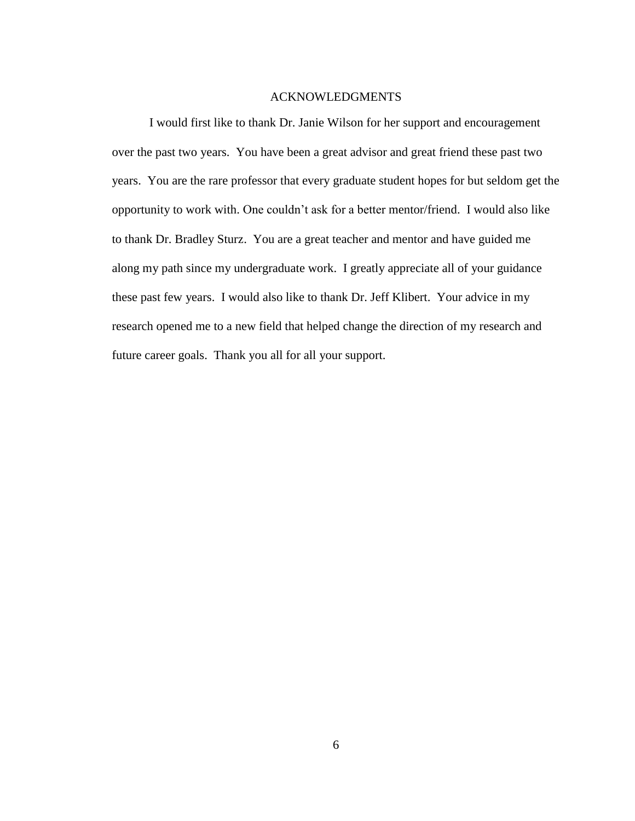#### ACKNOWLEDGMENTS

I would first like to thank Dr. Janie Wilson for her support and encouragement over the past two years. You have been a great advisor and great friend these past two years. You are the rare professor that every graduate student hopes for but seldom get the opportunity to work with. One couldn't ask for a better mentor/friend. I would also like to thank Dr. Bradley Sturz. You are a great teacher and mentor and have guided me along my path since my undergraduate work. I greatly appreciate all of your guidance these past few years. I would also like to thank Dr. Jeff Klibert. Your advice in my research opened me to a new field that helped change the direction of my research and future career goals. Thank you all for all your support.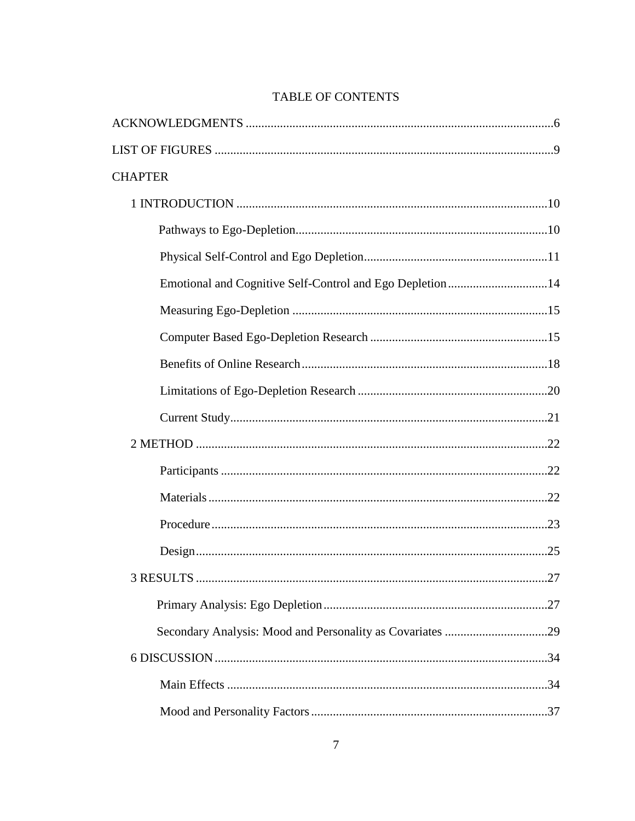| <b>CHAPTER</b>                                            |     |
|-----------------------------------------------------------|-----|
|                                                           |     |
|                                                           |     |
|                                                           |     |
| Emotional and Cognitive Self-Control and Ego Depletion 14 |     |
|                                                           |     |
|                                                           |     |
|                                                           |     |
|                                                           |     |
|                                                           |     |
|                                                           |     |
|                                                           |     |
|                                                           |     |
|                                                           |     |
|                                                           |     |
| <b>3 RESULTS</b>                                          | .27 |
|                                                           |     |
|                                                           |     |
|                                                           |     |
|                                                           |     |
|                                                           |     |

### TABLE OF CONTENTS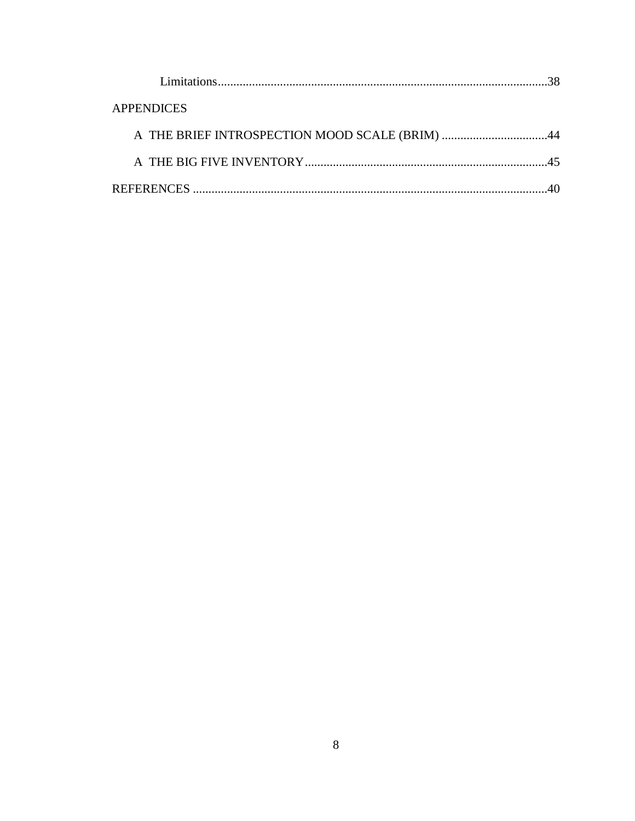| <b>APPENDICES</b>                              |  |
|------------------------------------------------|--|
| A THE BRIEF INTROSPECTION MOOD SCALE (BRIM) 44 |  |
|                                                |  |
|                                                |  |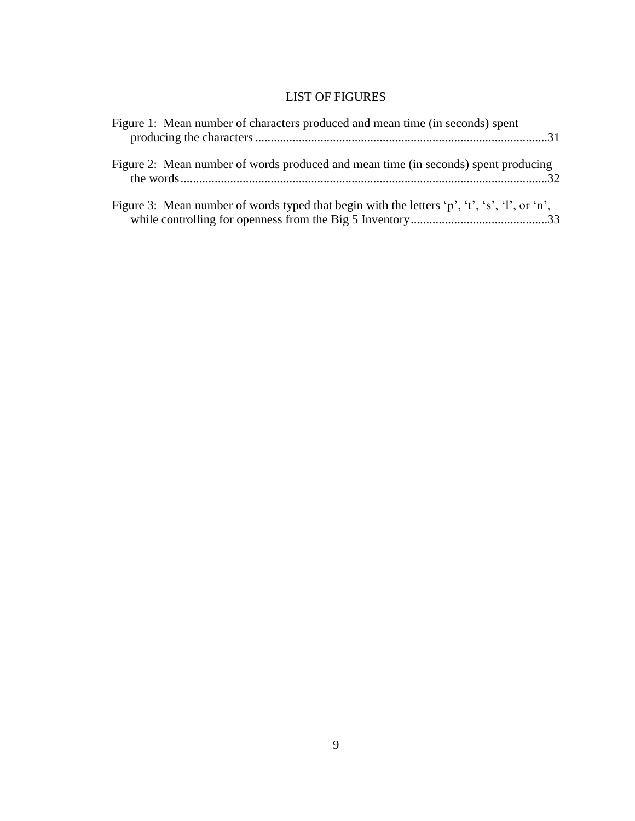### LIST OF FIGURES

| Figure 1: Mean number of characters produced and mean time (in seconds) spent                |  |
|----------------------------------------------------------------------------------------------|--|
| Figure 2: Mean number of words produced and mean time (in seconds) spent producing           |  |
| Figure 3: Mean number of words typed that begin with the letters 'p', 't', 's', 'l', or 'n', |  |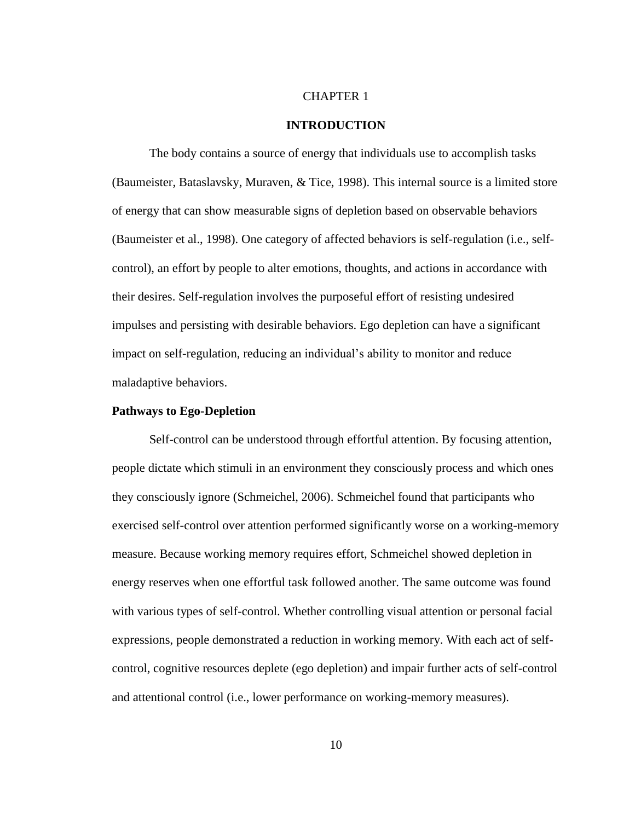#### CHAPTER 1

#### **INTRODUCTION**

The body contains a source of energy that individuals use to accomplish tasks (Baumeister, Bataslavsky, Muraven, & Tice, 1998). This internal source is a limited store of energy that can show measurable signs of depletion based on observable behaviors (Baumeister et al., 1998). One category of affected behaviors is self-regulation (i.e., selfcontrol), an effort by people to alter emotions, thoughts, and actions in accordance with their desires. Self-regulation involves the purposeful effort of resisting undesired impulses and persisting with desirable behaviors. Ego depletion can have a significant impact on self-regulation, reducing an individual's ability to monitor and reduce maladaptive behaviors.

#### **Pathways to Ego-Depletion**

Self-control can be understood through effortful attention. By focusing attention, people dictate which stimuli in an environment they consciously process and which ones they consciously ignore (Schmeichel, 2006). Schmeichel found that participants who exercised self-control over attention performed significantly worse on a working-memory measure. Because working memory requires effort, Schmeichel showed depletion in energy reserves when one effortful task followed another. The same outcome was found with various types of self-control. Whether controlling visual attention or personal facial expressions, people demonstrated a reduction in working memory. With each act of selfcontrol, cognitive resources deplete (ego depletion) and impair further acts of self-control and attentional control (i.e., lower performance on working-memory measures).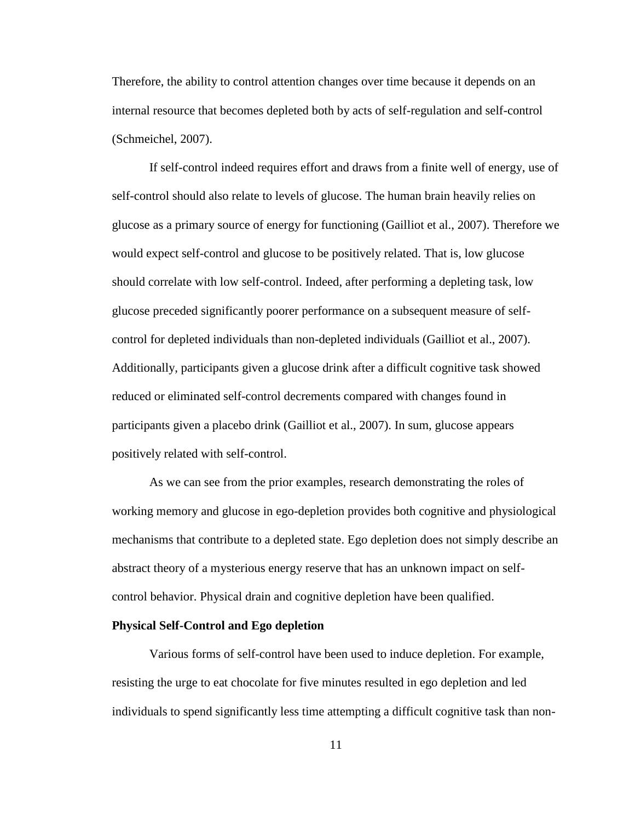Therefore, the ability to control attention changes over time because it depends on an internal resource that becomes depleted both by acts of self-regulation and self-control (Schmeichel, 2007).

If self-control indeed requires effort and draws from a finite well of energy, use of self-control should also relate to levels of glucose. The human brain heavily relies on glucose as a primary source of energy for functioning (Gailliot et al., 2007). Therefore we would expect self-control and glucose to be positively related. That is, low glucose should correlate with low self-control. Indeed, after performing a depleting task, low glucose preceded significantly poorer performance on a subsequent measure of selfcontrol for depleted individuals than non-depleted individuals (Gailliot et al., 2007). Additionally, participants given a glucose drink after a difficult cognitive task showed reduced or eliminated self-control decrements compared with changes found in participants given a placebo drink (Gailliot et al., 2007). In sum, glucose appears positively related with self-control.

As we can see from the prior examples, research demonstrating the roles of working memory and glucose in ego-depletion provides both cognitive and physiological mechanisms that contribute to a depleted state. Ego depletion does not simply describe an abstract theory of a mysterious energy reserve that has an unknown impact on selfcontrol behavior. Physical drain and cognitive depletion have been qualified.

#### **Physical Self-Control and Ego depletion**

Various forms of self-control have been used to induce depletion. For example, resisting the urge to eat chocolate for five minutes resulted in ego depletion and led individuals to spend significantly less time attempting a difficult cognitive task than non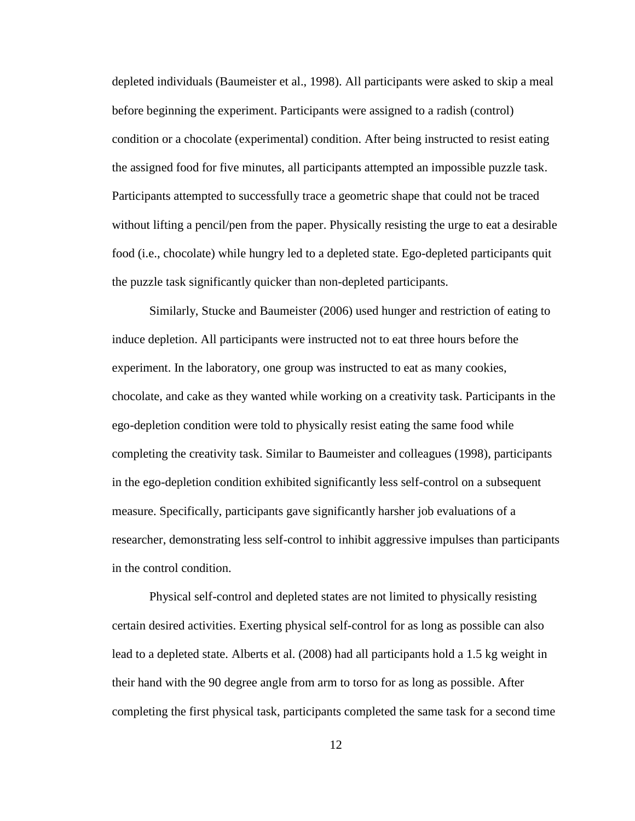depleted individuals (Baumeister et al., 1998). All participants were asked to skip a meal before beginning the experiment. Participants were assigned to a radish (control) condition or a chocolate (experimental) condition. After being instructed to resist eating the assigned food for five minutes, all participants attempted an impossible puzzle task. Participants attempted to successfully trace a geometric shape that could not be traced without lifting a pencil/pen from the paper. Physically resisting the urge to eat a desirable food (i.e., chocolate) while hungry led to a depleted state. Ego-depleted participants quit the puzzle task significantly quicker than non-depleted participants.

Similarly, Stucke and Baumeister (2006) used hunger and restriction of eating to induce depletion. All participants were instructed not to eat three hours before the experiment. In the laboratory, one group was instructed to eat as many cookies, chocolate, and cake as they wanted while working on a creativity task. Participants in the ego-depletion condition were told to physically resist eating the same food while completing the creativity task. Similar to Baumeister and colleagues (1998), participants in the ego-depletion condition exhibited significantly less self-control on a subsequent measure. Specifically, participants gave significantly harsher job evaluations of a researcher, demonstrating less self-control to inhibit aggressive impulses than participants in the control condition.

Physical self-control and depleted states are not limited to physically resisting certain desired activities. Exerting physical self-control for as long as possible can also lead to a depleted state. Alberts et al. (2008) had all participants hold a 1.5 kg weight in their hand with the 90 degree angle from arm to torso for as long as possible. After completing the first physical task, participants completed the same task for a second time

12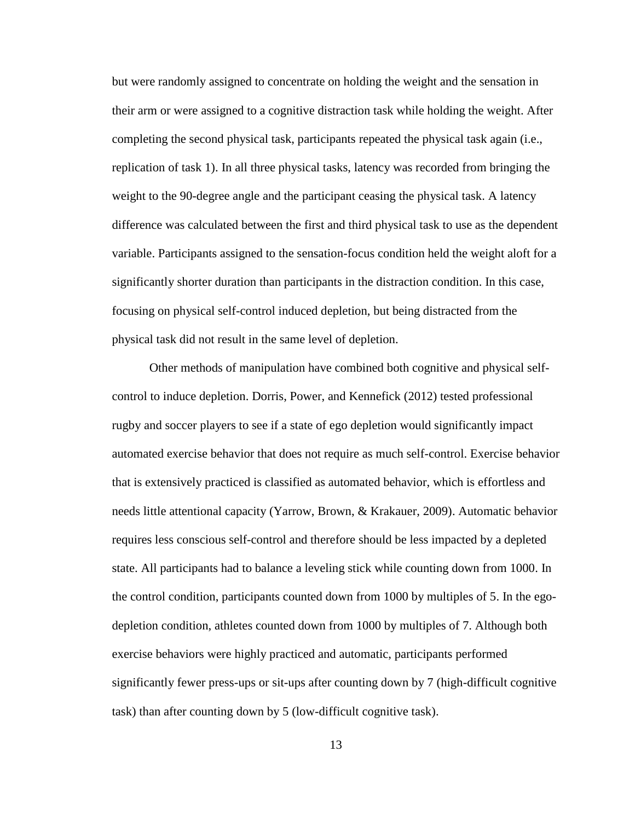but were randomly assigned to concentrate on holding the weight and the sensation in their arm or were assigned to a cognitive distraction task while holding the weight. After completing the second physical task, participants repeated the physical task again (i.e., replication of task 1). In all three physical tasks, latency was recorded from bringing the weight to the 90-degree angle and the participant ceasing the physical task. A latency difference was calculated between the first and third physical task to use as the dependent variable. Participants assigned to the sensation-focus condition held the weight aloft for a significantly shorter duration than participants in the distraction condition. In this case, focusing on physical self-control induced depletion, but being distracted from the physical task did not result in the same level of depletion.

Other methods of manipulation have combined both cognitive and physical selfcontrol to induce depletion. Dorris, Power, and Kennefick (2012) tested professional rugby and soccer players to see if a state of ego depletion would significantly impact automated exercise behavior that does not require as much self-control. Exercise behavior that is extensively practiced is classified as automated behavior, which is effortless and needs little attentional capacity (Yarrow, Brown, & Krakauer, 2009). Automatic behavior requires less conscious self-control and therefore should be less impacted by a depleted state. All participants had to balance a leveling stick while counting down from 1000. In the control condition, participants counted down from 1000 by multiples of 5. In the egodepletion condition, athletes counted down from 1000 by multiples of 7. Although both exercise behaviors were highly practiced and automatic, participants performed significantly fewer press-ups or sit-ups after counting down by 7 (high-difficult cognitive task) than after counting down by 5 (low-difficult cognitive task).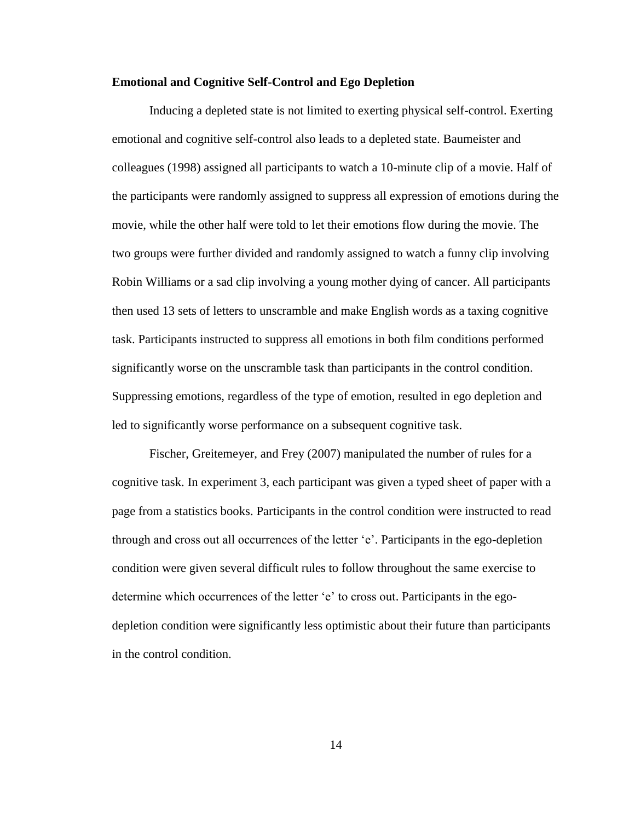#### **Emotional and Cognitive Self-Control and Ego Depletion**

Inducing a depleted state is not limited to exerting physical self-control. Exerting emotional and cognitive self-control also leads to a depleted state. Baumeister and colleagues (1998) assigned all participants to watch a 10-minute clip of a movie. Half of the participants were randomly assigned to suppress all expression of emotions during the movie, while the other half were told to let their emotions flow during the movie. The two groups were further divided and randomly assigned to watch a funny clip involving Robin Williams or a sad clip involving a young mother dying of cancer. All participants then used 13 sets of letters to unscramble and make English words as a taxing cognitive task. Participants instructed to suppress all emotions in both film conditions performed significantly worse on the unscramble task than participants in the control condition. Suppressing emotions, regardless of the type of emotion, resulted in ego depletion and led to significantly worse performance on a subsequent cognitive task.

Fischer, Greitemeyer, and Frey (2007) manipulated the number of rules for a cognitive task. In experiment 3, each participant was given a typed sheet of paper with a page from a statistics books. Participants in the control condition were instructed to read through and cross out all occurrences of the letter 'e'. Participants in the ego-depletion condition were given several difficult rules to follow throughout the same exercise to determine which occurrences of the letter 'e' to cross out. Participants in the egodepletion condition were significantly less optimistic about their future than participants in the control condition.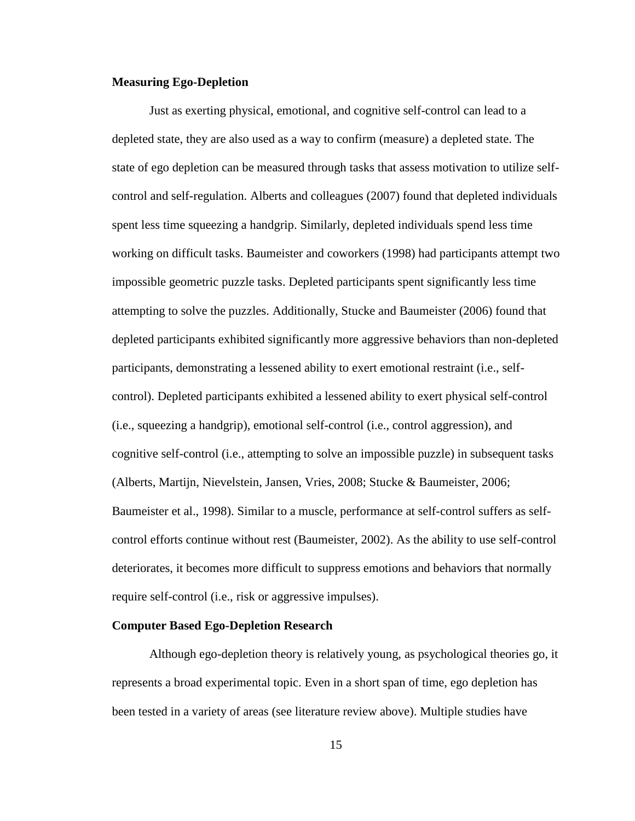#### **Measuring Ego-Depletion**

Just as exerting physical, emotional, and cognitive self-control can lead to a depleted state, they are also used as a way to confirm (measure) a depleted state. The state of ego depletion can be measured through tasks that assess motivation to utilize selfcontrol and self-regulation. Alberts and colleagues (2007) found that depleted individuals spent less time squeezing a handgrip. Similarly, depleted individuals spend less time working on difficult tasks. Baumeister and coworkers (1998) had participants attempt two impossible geometric puzzle tasks. Depleted participants spent significantly less time attempting to solve the puzzles. Additionally, Stucke and Baumeister (2006) found that depleted participants exhibited significantly more aggressive behaviors than non-depleted participants, demonstrating a lessened ability to exert emotional restraint (i.e., selfcontrol). Depleted participants exhibited a lessened ability to exert physical self-control (i.e., squeezing a handgrip), emotional self-control (i.e., control aggression), and cognitive self-control (i.e., attempting to solve an impossible puzzle) in subsequent tasks (Alberts, Martijn, Nievelstein, Jansen, Vries, 2008; Stucke & Baumeister, 2006; Baumeister et al., 1998). Similar to a muscle, performance at self-control suffers as selfcontrol efforts continue without rest (Baumeister, 2002). As the ability to use self-control deteriorates, it becomes more difficult to suppress emotions and behaviors that normally require self-control (i.e., risk or aggressive impulses).

#### **Computer Based Ego-Depletion Research**

Although ego-depletion theory is relatively young, as psychological theories go, it represents a broad experimental topic. Even in a short span of time, ego depletion has been tested in a variety of areas (see literature review above). Multiple studies have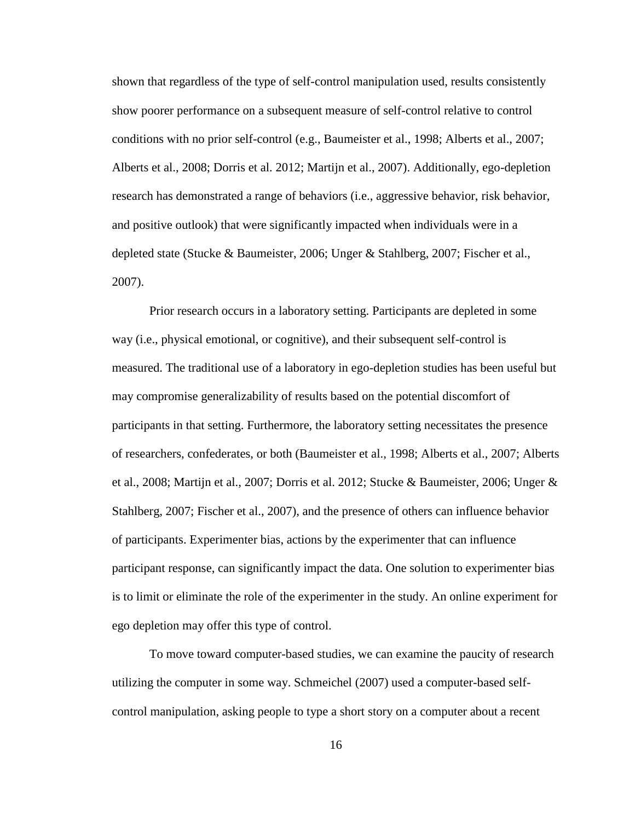shown that regardless of the type of self-control manipulation used, results consistently show poorer performance on a subsequent measure of self-control relative to control conditions with no prior self-control (e.g., Baumeister et al., 1998; Alberts et al., 2007; Alberts et al., 2008; Dorris et al. 2012; Martijn et al., 2007). Additionally, ego-depletion research has demonstrated a range of behaviors (i.e., aggressive behavior, risk behavior, and positive outlook) that were significantly impacted when individuals were in a depleted state (Stucke & Baumeister, 2006; Unger & Stahlberg, 2007; Fischer et al., 2007).

Prior research occurs in a laboratory setting. Participants are depleted in some way (i.e., physical emotional, or cognitive), and their subsequent self-control is measured. The traditional use of a laboratory in ego-depletion studies has been useful but may compromise generalizability of results based on the potential discomfort of participants in that setting. Furthermore, the laboratory setting necessitates the presence of researchers, confederates, or both (Baumeister et al., 1998; Alberts et al., 2007; Alberts et al., 2008; Martijn et al., 2007; Dorris et al. 2012; Stucke & Baumeister, 2006; Unger & Stahlberg, 2007; Fischer et al., 2007), and the presence of others can influence behavior of participants. Experimenter bias, actions by the experimenter that can influence participant response, can significantly impact the data. One solution to experimenter bias is to limit or eliminate the role of the experimenter in the study. An online experiment for ego depletion may offer this type of control.

To move toward computer-based studies, we can examine the paucity of research utilizing the computer in some way. Schmeichel (2007) used a computer-based selfcontrol manipulation, asking people to type a short story on a computer about a recent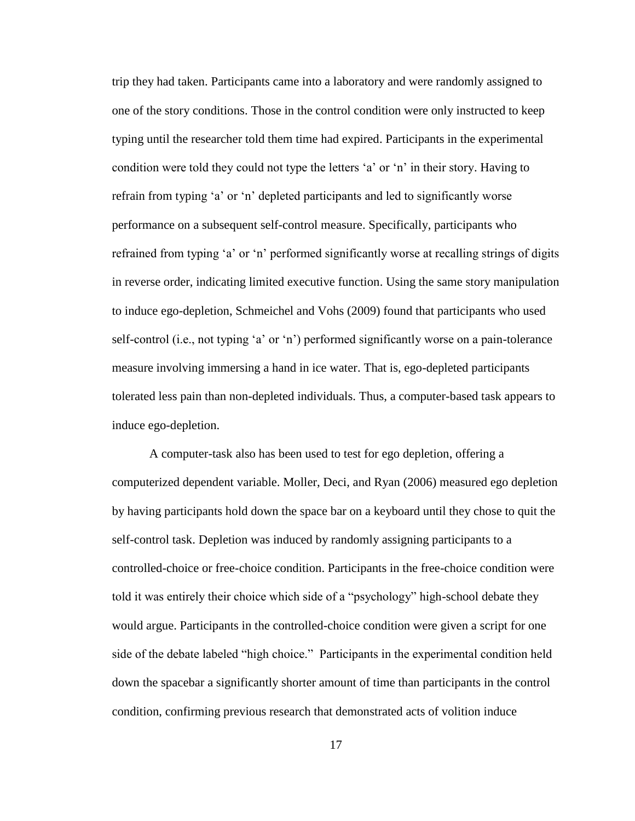trip they had taken. Participants came into a laboratory and were randomly assigned to one of the story conditions. Those in the control condition were only instructed to keep typing until the researcher told them time had expired. Participants in the experimental condition were told they could not type the letters 'a' or 'n' in their story. Having to refrain from typing 'a' or 'n' depleted participants and led to significantly worse performance on a subsequent self-control measure. Specifically, participants who refrained from typing 'a' or 'n' performed significantly worse at recalling strings of digits in reverse order, indicating limited executive function. Using the same story manipulation to induce ego-depletion, Schmeichel and Vohs (2009) found that participants who used self-control (i.e., not typing 'a' or 'n') performed significantly worse on a pain-tolerance measure involving immersing a hand in ice water. That is, ego-depleted participants tolerated less pain than non-depleted individuals. Thus, a computer-based task appears to induce ego-depletion.

A computer-task also has been used to test for ego depletion, offering a computerized dependent variable. Moller, Deci, and Ryan (2006) measured ego depletion by having participants hold down the space bar on a keyboard until they chose to quit the self-control task. Depletion was induced by randomly assigning participants to a controlled-choice or free-choice condition. Participants in the free-choice condition were told it was entirely their choice which side of a "psychology" high-school debate they would argue. Participants in the controlled-choice condition were given a script for one side of the debate labeled "high choice." Participants in the experimental condition held down the spacebar a significantly shorter amount of time than participants in the control condition, confirming previous research that demonstrated acts of volition induce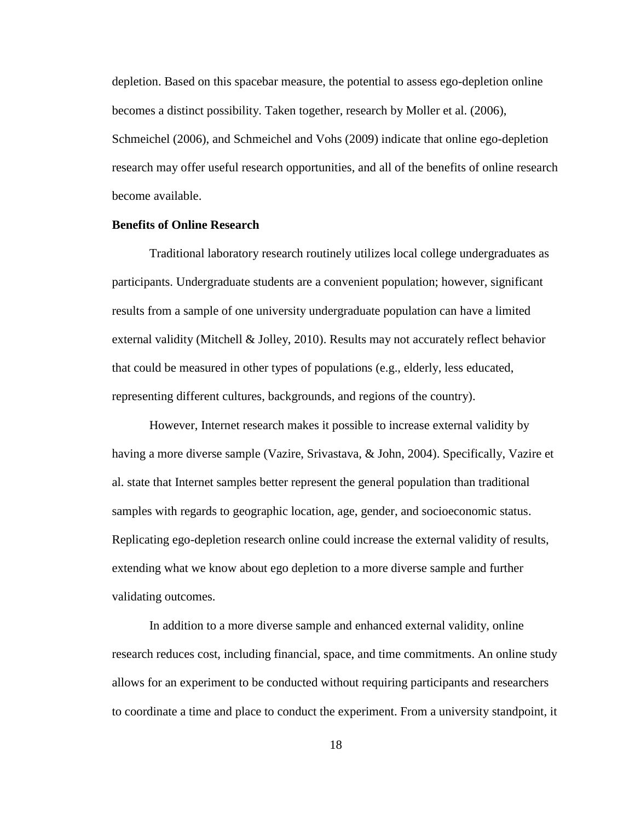depletion. Based on this spacebar measure, the potential to assess ego-depletion online becomes a distinct possibility. Taken together, research by Moller et al. (2006), Schmeichel (2006), and Schmeichel and Vohs (2009) indicate that online ego-depletion research may offer useful research opportunities, and all of the benefits of online research become available.

#### **Benefits of Online Research**

Traditional laboratory research routinely utilizes local college undergraduates as participants. Undergraduate students are a convenient population; however, significant results from a sample of one university undergraduate population can have a limited external validity (Mitchell & Jolley, 2010). Results may not accurately reflect behavior that could be measured in other types of populations (e.g., elderly, less educated, representing different cultures, backgrounds, and regions of the country).

However, Internet research makes it possible to increase external validity by having a more diverse sample (Vazire, Srivastava, & John, 2004). Specifically, Vazire et al. state that Internet samples better represent the general population than traditional samples with regards to geographic location, age, gender, and socioeconomic status. Replicating ego-depletion research online could increase the external validity of results, extending what we know about ego depletion to a more diverse sample and further validating outcomes.

In addition to a more diverse sample and enhanced external validity, online research reduces cost, including financial, space, and time commitments. An online study allows for an experiment to be conducted without requiring participants and researchers to coordinate a time and place to conduct the experiment. From a university standpoint, it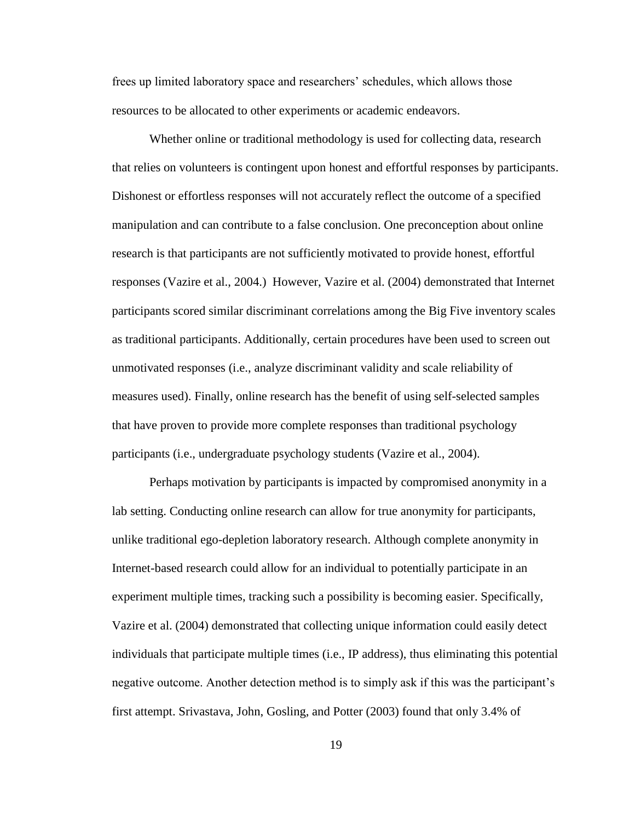frees up limited laboratory space and researchers' schedules, which allows those resources to be allocated to other experiments or academic endeavors.

Whether online or traditional methodology is used for collecting data, research that relies on volunteers is contingent upon honest and effortful responses by participants. Dishonest or effortless responses will not accurately reflect the outcome of a specified manipulation and can contribute to a false conclusion. One preconception about online research is that participants are not sufficiently motivated to provide honest, effortful responses (Vazire et al., 2004.) However, Vazire et al. (2004) demonstrated that Internet participants scored similar discriminant correlations among the Big Five inventory scales as traditional participants. Additionally, certain procedures have been used to screen out unmotivated responses (i.e., analyze discriminant validity and scale reliability of measures used). Finally, online research has the benefit of using self-selected samples that have proven to provide more complete responses than traditional psychology participants (i.e., undergraduate psychology students (Vazire et al., 2004).

Perhaps motivation by participants is impacted by compromised anonymity in a lab setting. Conducting online research can allow for true anonymity for participants, unlike traditional ego-depletion laboratory research. Although complete anonymity in Internet-based research could allow for an individual to potentially participate in an experiment multiple times, tracking such a possibility is becoming easier. Specifically, Vazire et al. (2004) demonstrated that collecting unique information could easily detect individuals that participate multiple times (i.e., IP address), thus eliminating this potential negative outcome. Another detection method is to simply ask if this was the participant's first attempt. Srivastava, John, Gosling, and Potter (2003) found that only 3.4% of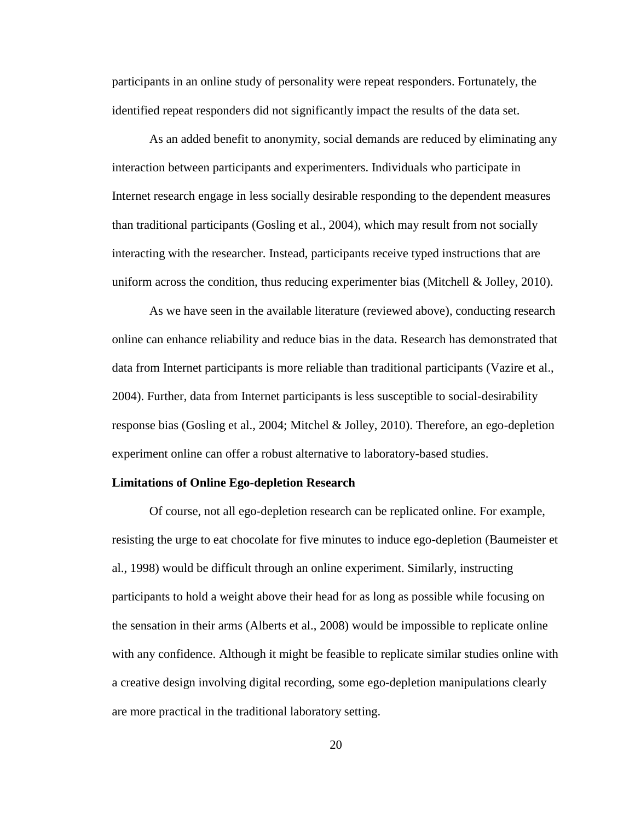participants in an online study of personality were repeat responders. Fortunately, the identified repeat responders did not significantly impact the results of the data set.

As an added benefit to anonymity, social demands are reduced by eliminating any interaction between participants and experimenters. Individuals who participate in Internet research engage in less socially desirable responding to the dependent measures than traditional participants (Gosling et al., 2004), which may result from not socially interacting with the researcher. Instead, participants receive typed instructions that are uniform across the condition, thus reducing experimenter bias (Mitchell  $\&$  Jolley, 2010).

As we have seen in the available literature (reviewed above), conducting research online can enhance reliability and reduce bias in the data. Research has demonstrated that data from Internet participants is more reliable than traditional participants (Vazire et al., 2004). Further, data from Internet participants is less susceptible to social-desirability response bias (Gosling et al., 2004; Mitchel & Jolley, 2010). Therefore, an ego-depletion experiment online can offer a robust alternative to laboratory-based studies.

#### **Limitations of Online Ego-depletion Research**

Of course, not all ego-depletion research can be replicated online. For example, resisting the urge to eat chocolate for five minutes to induce ego-depletion (Baumeister et al., 1998) would be difficult through an online experiment. Similarly, instructing participants to hold a weight above their head for as long as possible while focusing on the sensation in their arms (Alberts et al., 2008) would be impossible to replicate online with any confidence. Although it might be feasible to replicate similar studies online with a creative design involving digital recording, some ego-depletion manipulations clearly are more practical in the traditional laboratory setting.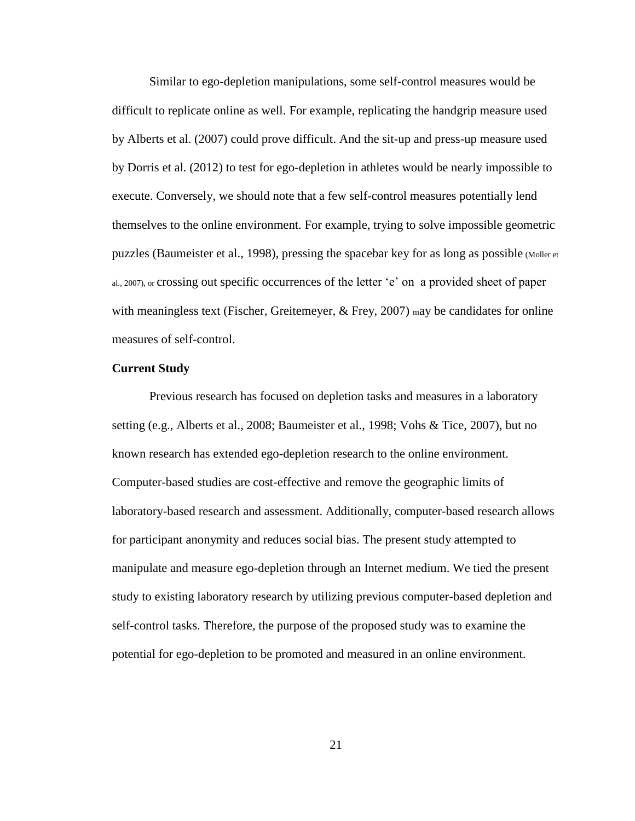Similar to ego-depletion manipulations, some self-control measures would be difficult to replicate online as well. For example, replicating the handgrip measure used by Alberts et al. (2007) could prove difficult. And the sit-up and press-up measure used by Dorris et al. (2012) to test for ego-depletion in athletes would be nearly impossible to execute. Conversely, we should note that a few self-control measures potentially lend themselves to the online environment. For example, trying to solve impossible geometric puzzles (Baumeister et al., 1998), pressing the spacebar key for as long as possible (Moller et al., 2007), or crossing out specific occurrences of the letter 'e' on a provided sheet of paper with meaningless text (Fischer, Greitemeyer,  $\&$  Frey, 2007) may be candidates for online measures of self-control.

#### **Current Study**

Previous research has focused on depletion tasks and measures in a laboratory setting (e.g., Alberts et al., 2008; Baumeister et al., 1998; Vohs & Tice, 2007), but no known research has extended ego-depletion research to the online environment. Computer-based studies are cost-effective and remove the geographic limits of laboratory-based research and assessment. Additionally, computer-based research allows for participant anonymity and reduces social bias. The present study attempted to manipulate and measure ego-depletion through an Internet medium. We tied the present study to existing laboratory research by utilizing previous computer-based depletion and self-control tasks. Therefore, the purpose of the proposed study was to examine the potential for ego-depletion to be promoted and measured in an online environment.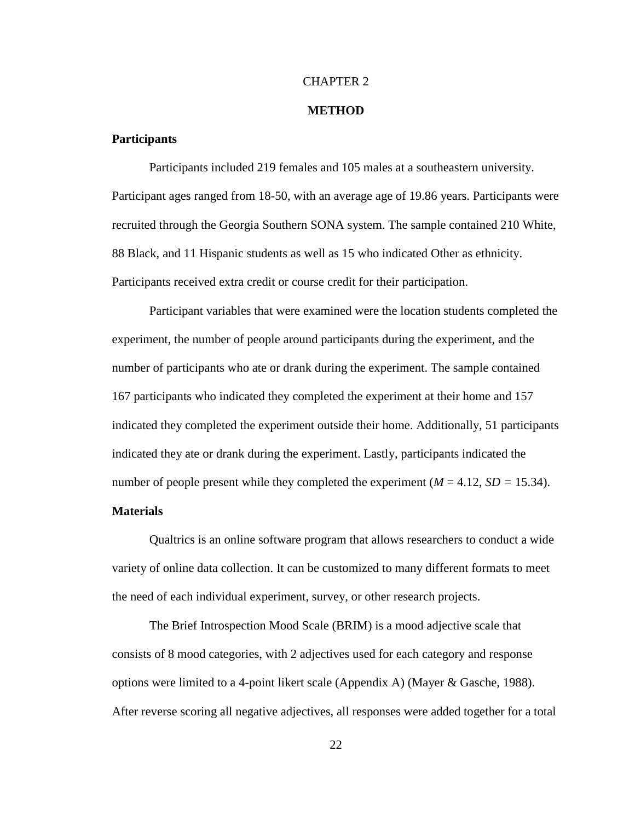#### CHAPTER 2

#### **METHOD**

#### **Participants**

Participants included 219 females and 105 males at a southeastern university. Participant ages ranged from 18-50, with an average age of 19.86 years. Participants were recruited through the Georgia Southern SONA system. The sample contained 210 White, 88 Black, and 11 Hispanic students as well as 15 who indicated Other as ethnicity. Participants received extra credit or course credit for their participation.

Participant variables that were examined were the location students completed the experiment, the number of people around participants during the experiment, and the number of participants who ate or drank during the experiment. The sample contained 167 participants who indicated they completed the experiment at their home and 157 indicated they completed the experiment outside their home. Additionally, 51 participants indicated they ate or drank during the experiment. Lastly, participants indicated the number of people present while they completed the experiment  $(M = 4.12, SD = 15.34)$ .

#### **Materials**

Qualtrics is an online software program that allows researchers to conduct a wide variety of online data collection. It can be customized to many different formats to meet the need of each individual experiment, survey, or other research projects.

The Brief Introspection Mood Scale (BRIM) is a mood adjective scale that consists of 8 mood categories, with 2 adjectives used for each category and response options were limited to a 4-point likert scale (Appendix A) (Mayer & Gasche, 1988). After reverse scoring all negative adjectives, all responses were added together for a total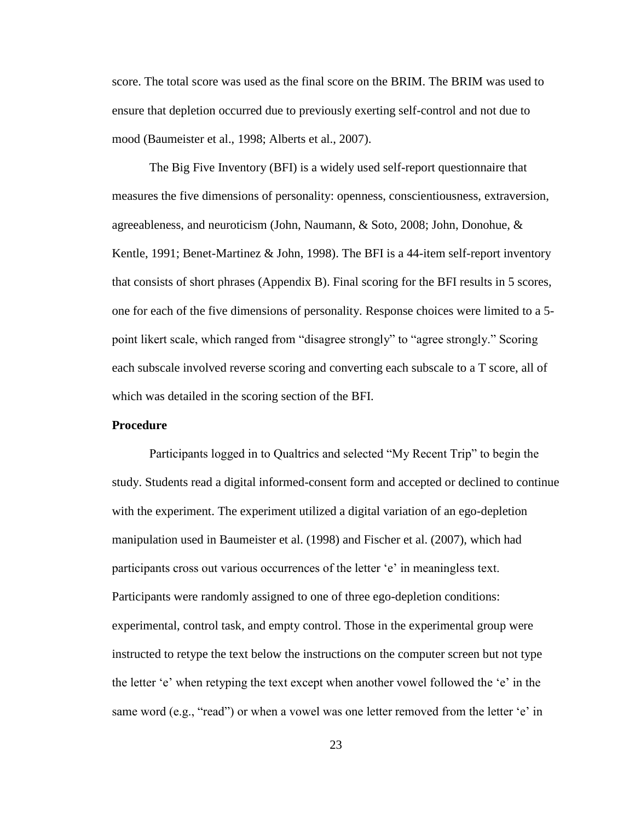score. The total score was used as the final score on the BRIM. The BRIM was used to ensure that depletion occurred due to previously exerting self-control and not due to mood (Baumeister et al., 1998; Alberts et al., 2007).

The Big Five Inventory (BFI) is a widely used self-report questionnaire that measures the five dimensions of personality: openness, conscientiousness, extraversion, agreeableness, and neuroticism (John, Naumann, & Soto, 2008; John, Donohue, & Kentle, 1991; Benet-Martinez & John, 1998). The BFI is a 44-item self-report inventory that consists of short phrases (Appendix B). Final scoring for the BFI results in 5 scores, one for each of the five dimensions of personality. Response choices were limited to a 5 point likert scale, which ranged from "disagree strongly" to "agree strongly." Scoring each subscale involved reverse scoring and converting each subscale to a T score, all of which was detailed in the scoring section of the BFI.

#### **Procedure**

Participants logged in to Qualtrics and selected "My Recent Trip" to begin the study. Students read a digital informed-consent form and accepted or declined to continue with the experiment. The experiment utilized a digital variation of an ego-depletion manipulation used in Baumeister et al. (1998) and Fischer et al. (2007), which had participants cross out various occurrences of the letter 'e' in meaningless text. Participants were randomly assigned to one of three ego-depletion conditions: experimental, control task, and empty control. Those in the experimental group were instructed to retype the text below the instructions on the computer screen but not type the letter 'e' when retyping the text except when another vowel followed the 'e' in the same word (e.g., "read") or when a vowel was one letter removed from the letter 'e' in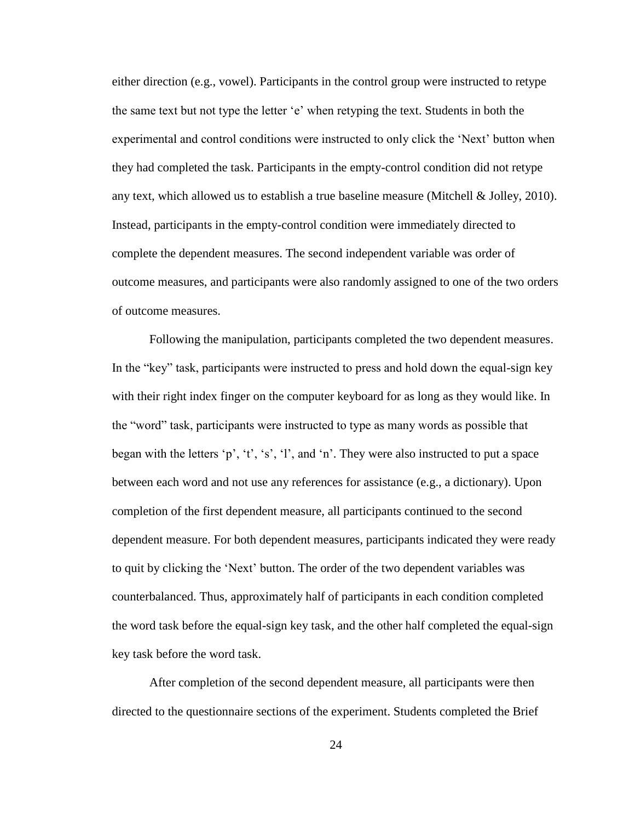either direction (e.g., vowel). Participants in the control group were instructed to retype the same text but not type the letter 'e' when retyping the text. Students in both the experimental and control conditions were instructed to only click the 'Next' button when they had completed the task. Participants in the empty-control condition did not retype any text, which allowed us to establish a true baseline measure (Mitchell & Jolley, 2010). Instead, participants in the empty-control condition were immediately directed to complete the dependent measures. The second independent variable was order of outcome measures, and participants were also randomly assigned to one of the two orders of outcome measures.

Following the manipulation, participants completed the two dependent measures. In the "key" task, participants were instructed to press and hold down the equal-sign key with their right index finger on the computer keyboard for as long as they would like. In the "word" task, participants were instructed to type as many words as possible that began with the letters 'p', 't', 's', 'l', and 'n'. They were also instructed to put a space between each word and not use any references for assistance (e.g., a dictionary). Upon completion of the first dependent measure, all participants continued to the second dependent measure. For both dependent measures, participants indicated they were ready to quit by clicking the 'Next' button. The order of the two dependent variables was counterbalanced. Thus, approximately half of participants in each condition completed the word task before the equal-sign key task, and the other half completed the equal-sign key task before the word task.

After completion of the second dependent measure, all participants were then directed to the questionnaire sections of the experiment. Students completed the Brief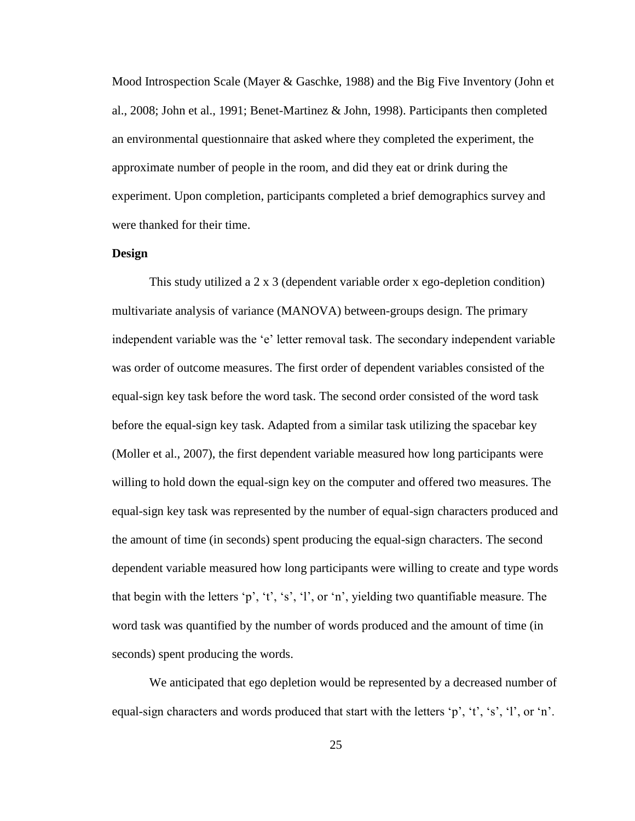Mood Introspection Scale (Mayer & Gaschke, 1988) and the Big Five Inventory (John et al., 2008; John et al., 1991; Benet-Martinez & John, 1998). Participants then completed an environmental questionnaire that asked where they completed the experiment, the approximate number of people in the room, and did they eat or drink during the experiment. Upon completion, participants completed a brief demographics survey and were thanked for their time.

#### **Design**

This study utilized a 2 x 3 (dependent variable order x ego-depletion condition) multivariate analysis of variance (MANOVA) between-groups design. The primary independent variable was the 'e' letter removal task. The secondary independent variable was order of outcome measures. The first order of dependent variables consisted of the equal-sign key task before the word task. The second order consisted of the word task before the equal-sign key task. Adapted from a similar task utilizing the spacebar key (Moller et al., 2007), the first dependent variable measured how long participants were willing to hold down the equal-sign key on the computer and offered two measures. The equal-sign key task was represented by the number of equal-sign characters produced and the amount of time (in seconds) spent producing the equal-sign characters. The second dependent variable measured how long participants were willing to create and type words that begin with the letters 'p', 't', 's', 'l', or 'n', yielding two quantifiable measure. The word task was quantified by the number of words produced and the amount of time (in seconds) spent producing the words.

We anticipated that ego depletion would be represented by a decreased number of equal-sign characters and words produced that start with the letters 'p', 't', 's', 'l', or 'n'.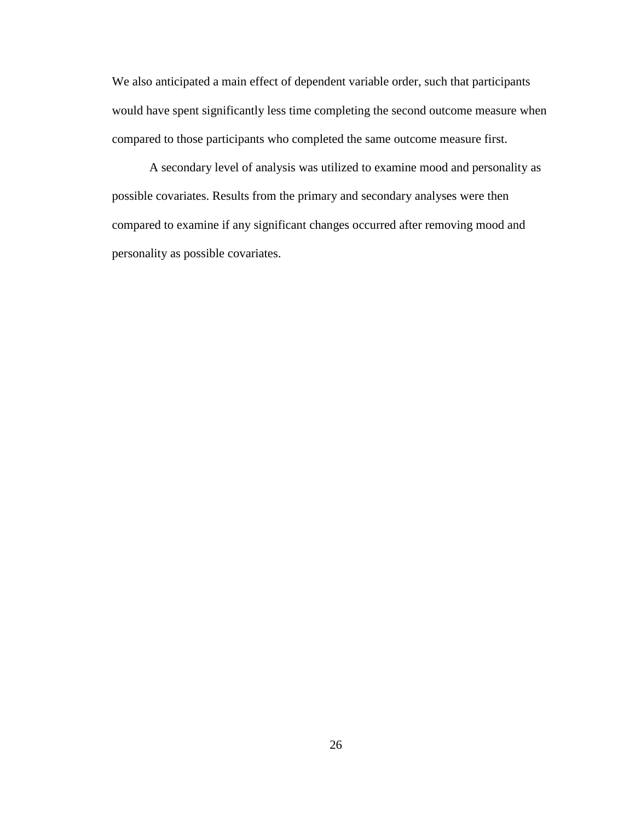We also anticipated a main effect of dependent variable order, such that participants would have spent significantly less time completing the second outcome measure when compared to those participants who completed the same outcome measure first.

A secondary level of analysis was utilized to examine mood and personality as possible covariates. Results from the primary and secondary analyses were then compared to examine if any significant changes occurred after removing mood and personality as possible covariates.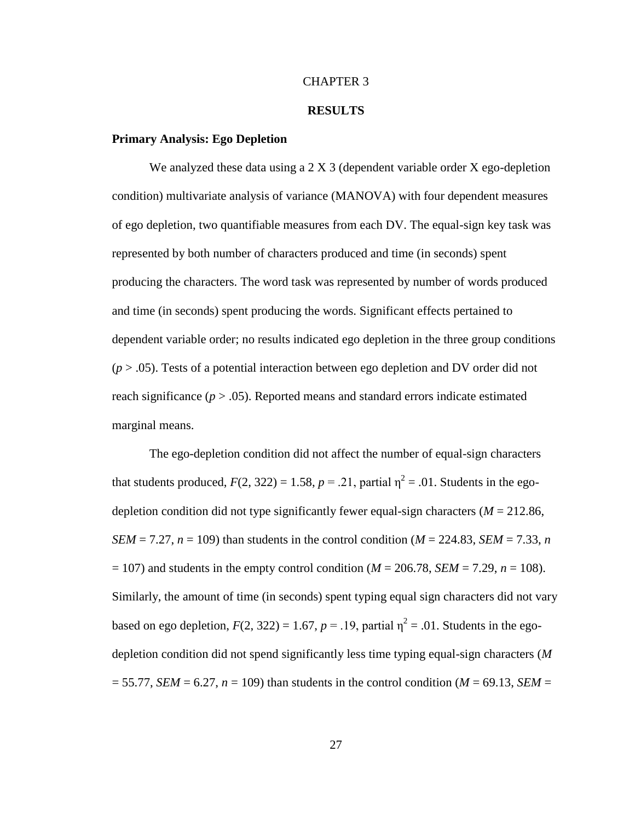#### CHAPTER 3

#### **RESULTS**

#### **Primary Analysis: Ego Depletion**

We analyzed these data using a 2 X 3 (dependent variable order X ego-depletion condition) multivariate analysis of variance (MANOVA) with four dependent measures of ego depletion, two quantifiable measures from each DV. The equal-sign key task was represented by both number of characters produced and time (in seconds) spent producing the characters. The word task was represented by number of words produced and time (in seconds) spent producing the words. Significant effects pertained to dependent variable order; no results indicated ego depletion in the three group conditions (*p* > .05). Tests of a potential interaction between ego depletion and DV order did not reach significance  $(p > .05)$ . Reported means and standard errors indicate estimated marginal means.

The ego-depletion condition did not affect the number of equal-sign characters that students produced,  $F(2, 322) = 1.58$ ,  $p = .21$ , partial  $\eta^2 = .01$ . Students in the egodepletion condition did not type significantly fewer equal-sign characters  $(M = 212.86$ , *SEM* = 7.27,  $n = 109$ ) than students in the control condition (*M* = 224.83, *SEM* = 7.33, *n*  $= 107$ ) and students in the empty control condition ( $M = 206.78$ , *SEM* = 7.29, *n* = 108). Similarly, the amount of time (in seconds) spent typing equal sign characters did not vary based on ego depletion,  $F(2, 322) = 1.67$ ,  $p = .19$ , partial  $\eta^2 = .01$ . Students in the egodepletion condition did not spend significantly less time typing equal-sign characters (*M*  $= 55.77$ , *SEM* = 6.27, *n* = 109) than students in the control condition (*M* = 69.13, *SEM* =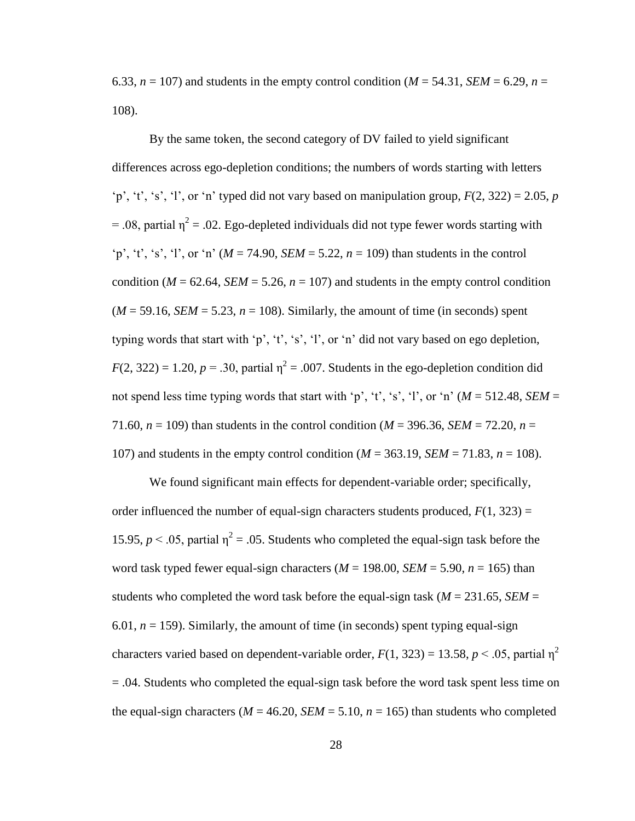6.33,  $n = 107$ ) and students in the empty control condition ( $M = 54.31$ ,  $SEM = 6.29$ ,  $n =$ 108).

By the same token, the second category of DV failed to yield significant differences across ego-depletion conditions; the numbers of words starting with letters 'p', 't', 's', 'l', or 'n' typed did not vary based on manipulation group,  $F(2, 322) = 2.05$ , *p* = .08, partial  $\eta^2$  = .02. Ego-depleted individuals did not type fewer words starting with 'p', 't', 's', 'l', or 'n'  $(M = 74.90, SEM = 5.22, n = 109)$  than students in the control condition ( $M = 62.64$ , *SEM* = 5.26,  $n = 107$ ) and students in the empty control condition  $(M = 59.16, SEM = 5.23, n = 108)$ . Similarly, the amount of time (in seconds) spent typing words that start with 'p', 't', 's', 'l', or 'n' did not vary based on ego depletion,  $F(2, 322) = 1.20, p = .30$ , partial  $\eta^2 = .007$ . Students in the ego-depletion condition did not spend less time typing words that start with 'p', 't', 's', 'l', or 'n'  $(M = 512.48, SEM =$ 71.60,  $n = 109$ ) than students in the control condition ( $M = 396.36$ , *SEM* = 72.20,  $n =$ 107) and students in the empty control condition (*M* = 363.19, *SEM* = 71.83, *n* = 108).

We found significant main effects for dependent-variable order; specifically, order influenced the number of equal-sign characters students produced,  $F(1, 323) =$ 15.95,  $p < 0.05$ , partial  $\eta^2 = 0.05$ . Students who completed the equal-sign task before the word task typed fewer equal-sign characters ( $M = 198.00$ ,  $SEM = 5.90$ ,  $n = 165$ ) than students who completed the word task before the equal-sign task ( $M = 231.65$ , *SEM* = 6.01,  $n = 159$ ). Similarly, the amount of time (in seconds) spent typing equal-sign characters varied based on dependent-variable order,  $F(1, 323) = 13.58$ ,  $p < .05$ , partial  $\eta^2$ = .04. Students who completed the equal-sign task before the word task spent less time on the equal-sign characters ( $M = 46.20$ ,  $SEM = 5.10$ ,  $n = 165$ ) than students who completed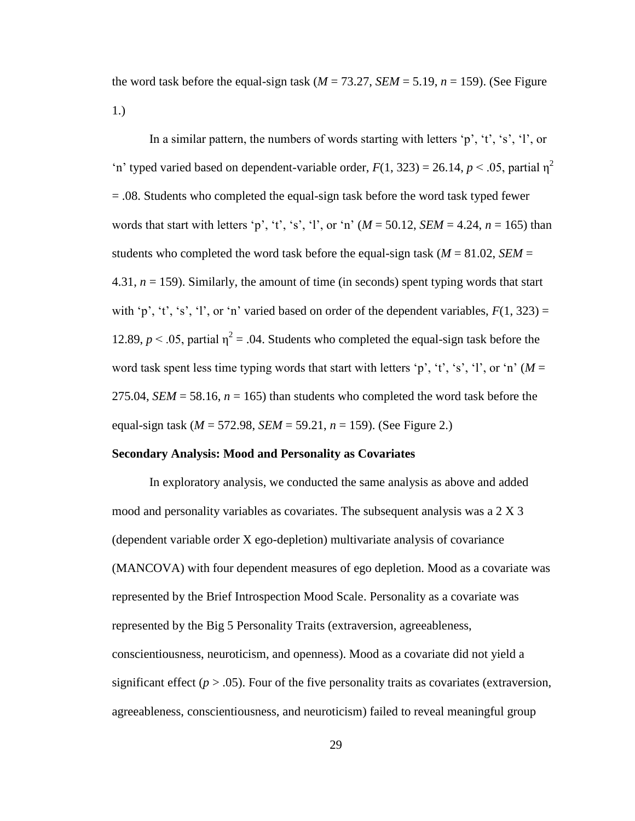the word task before the equal-sign task  $(M = 73.27, SEM = 5.19, n = 159)$ . (See Figure 1.)

In a similar pattern, the numbers of words starting with letters 'p', 't', 's', 'l', or 'n' typed varied based on dependent-variable order,  $F(1, 323) = 26.14$ ,  $p < .05$ , partial  $\eta^2$ = .08. Students who completed the equal-sign task before the word task typed fewer words that start with letters 'p', 't', 's', 'l', or 'n'  $(M = 50.12, SEM = 4.24, n = 165)$  than students who completed the word task before the equal-sign task ( $M = 81.02$ , *SEM* = 4.31, *n* = 159). Similarly, the amount of time (in seconds) spent typing words that start with 'p', 't', 's', 'l', or 'n' varied based on order of the dependent variables,  $F(1, 323) =$ 12.89,  $p < 0.05$ , partial  $\eta^2 = 0.04$ . Students who completed the equal-sign task before the word task spent less time typing words that start with letters 'p', 't', 's', 'l', or 'n'  $(M =$ 275.04, *SEM* = 58.16,  $n = 165$ ) than students who completed the word task before the equal-sign task (*M* = 572.98, *SEM* = 59.21, *n* = 159). (See Figure 2.)

#### **Secondary Analysis: Mood and Personality as Covariates**

In exploratory analysis, we conducted the same analysis as above and added mood and personality variables as covariates. The subsequent analysis was a 2 X 3 (dependent variable order X ego-depletion) multivariate analysis of covariance (MANCOVA) with four dependent measures of ego depletion. Mood as a covariate was represented by the Brief Introspection Mood Scale. Personality as a covariate was represented by the Big 5 Personality Traits (extraversion, agreeableness, conscientiousness, neuroticism, and openness). Mood as a covariate did not yield a significant effect  $(p > .05)$ . Four of the five personality traits as covariates (extraversion, agreeableness, conscientiousness, and neuroticism) failed to reveal meaningful group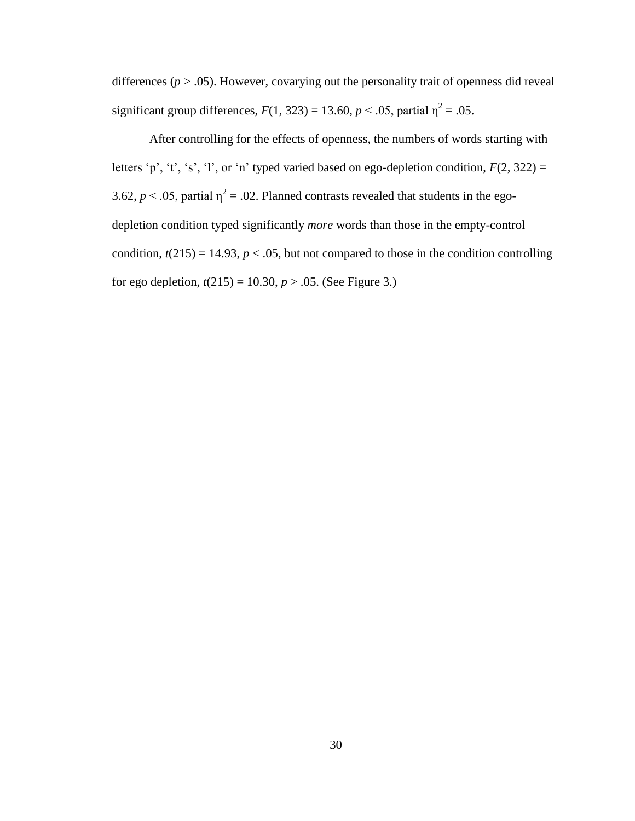differences ( $p > .05$ ). However, covarying out the personality trait of openness did reveal significant group differences,  $F(1, 323) = 13.60$ ,  $p < .05$ , partial  $\eta^2 = .05$ .

After controlling for the effects of openness, the numbers of words starting with letters 'p', 't', 's', 'l', or 'n' typed varied based on ego-depletion condition,  $F(2, 322) =$ 3.62,  $p < .05$ , partial  $\eta^2 = .02$ . Planned contrasts revealed that students in the egodepletion condition typed significantly *more* words than those in the empty-control condition,  $t(215) = 14.93$ ,  $p < .05$ , but not compared to those in the condition controlling for ego depletion,  $t(215) = 10.30, p > .05$ . (See Figure 3.)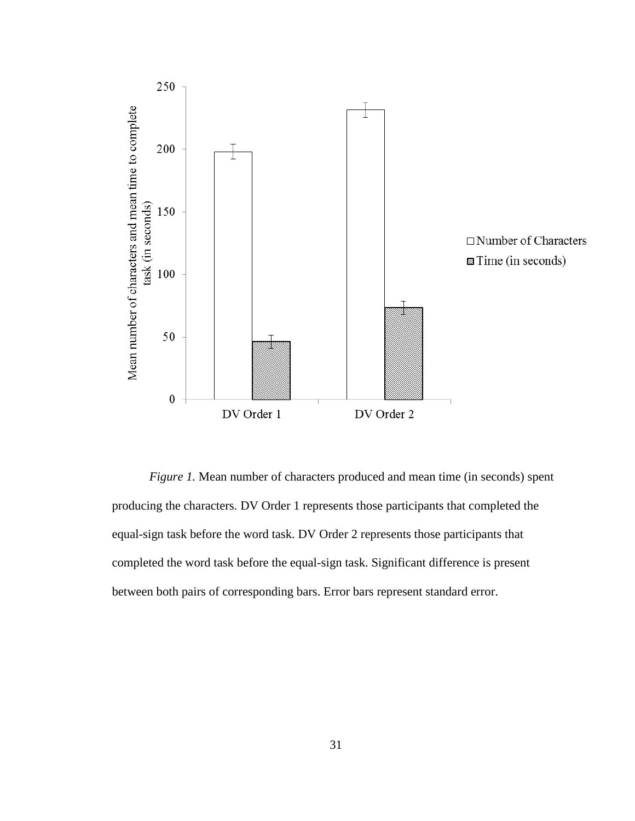

*Figure 1.* Mean number of characters produced and mean time (in seconds) spent producing the characters. DV Order 1 represents those participants that completed the equal-sign task before the word task. DV Order 2 represents those participants that completed the word task before the equal-sign task. Significant difference is present between both pairs of corresponding bars. Error bars represent standard error.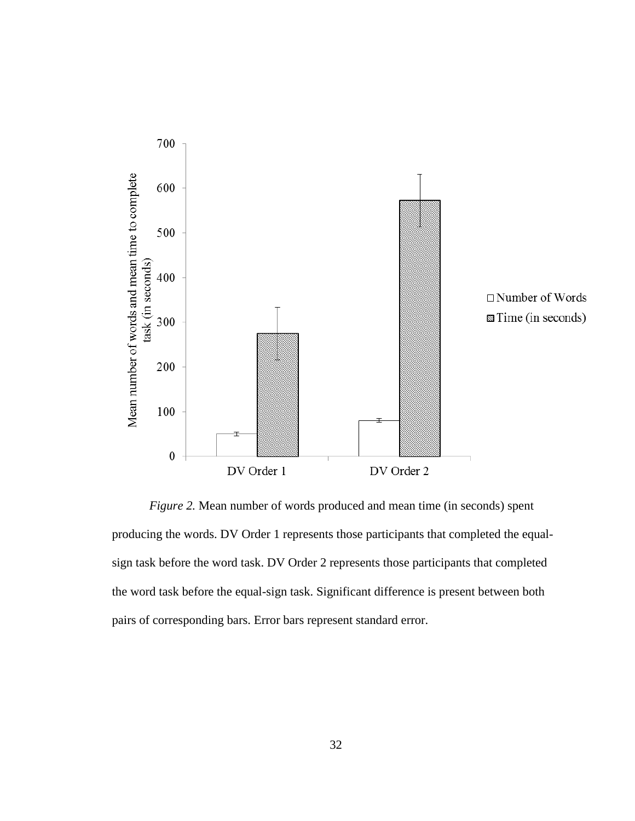

*Figure 2.* Mean number of words produced and mean time (in seconds) spent producing the words. DV Order 1 represents those participants that completed the equalsign task before the word task. DV Order 2 represents those participants that completed the word task before the equal-sign task. Significant difference is present between both pairs of corresponding bars. Error bars represent standard error.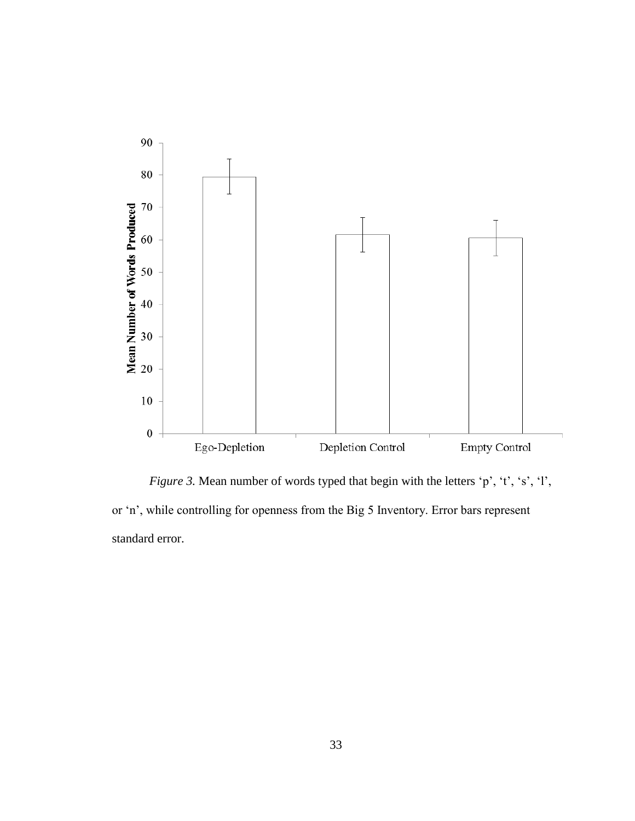

*Figure 3.* Mean number of words typed that begin with the letters 'p', 't', 's', 'l', or 'n', while controlling for openness from the Big 5 Inventory. Error bars represent standard error.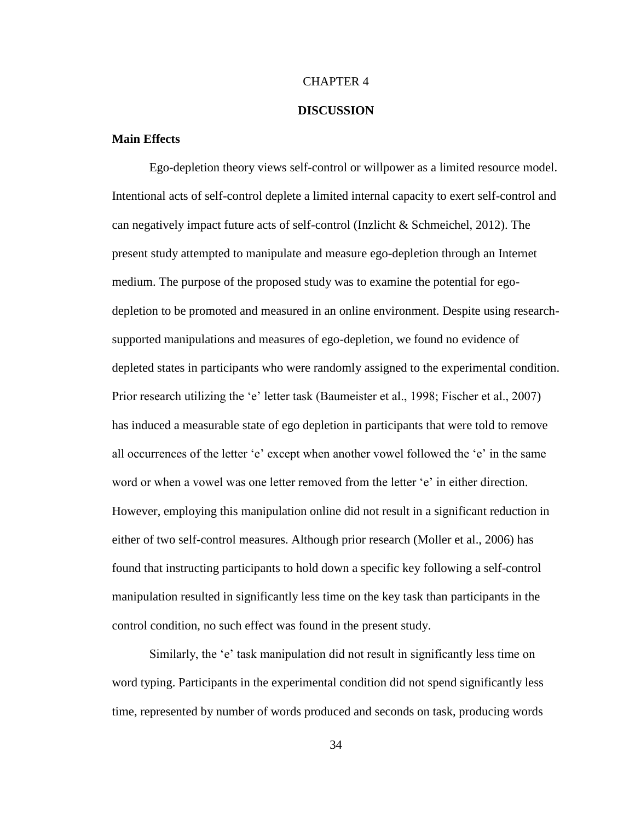#### CHAPTER 4

#### **DISCUSSION**

#### **Main Effects**

Ego-depletion theory views self-control or willpower as a limited resource model. Intentional acts of self-control deplete a limited internal capacity to exert self-control and can negatively impact future acts of self-control (Inzlicht & Schmeichel, 2012). The present study attempted to manipulate and measure ego-depletion through an Internet medium. The purpose of the proposed study was to examine the potential for egodepletion to be promoted and measured in an online environment. Despite using researchsupported manipulations and measures of ego-depletion, we found no evidence of depleted states in participants who were randomly assigned to the experimental condition. Prior research utilizing the 'e' letter task (Baumeister et al., 1998; Fischer et al., 2007) has induced a measurable state of ego depletion in participants that were told to remove all occurrences of the letter 'e' except when another vowel followed the 'e' in the same word or when a vowel was one letter removed from the letter 'e' in either direction. However, employing this manipulation online did not result in a significant reduction in either of two self-control measures. Although prior research (Moller et al., 2006) has found that instructing participants to hold down a specific key following a self-control manipulation resulted in significantly less time on the key task than participants in the control condition, no such effect was found in the present study.

Similarly, the 'e' task manipulation did not result in significantly less time on word typing. Participants in the experimental condition did not spend significantly less time, represented by number of words produced and seconds on task, producing words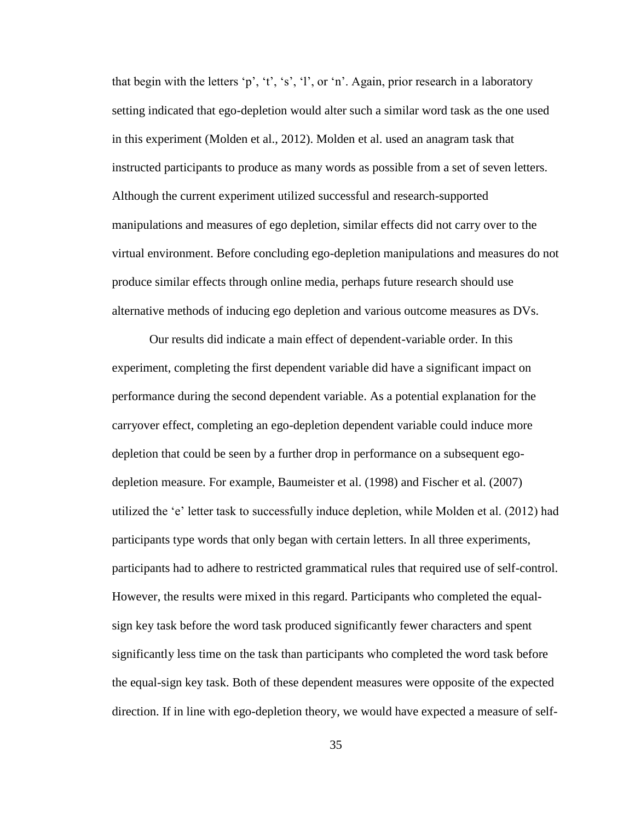that begin with the letters 'p', 't', 's', 'l', or 'n'. Again, prior research in a laboratory setting indicated that ego-depletion would alter such a similar word task as the one used in this experiment (Molden et al., 2012). Molden et al. used an anagram task that instructed participants to produce as many words as possible from a set of seven letters. Although the current experiment utilized successful and research-supported manipulations and measures of ego depletion, similar effects did not carry over to the virtual environment. Before concluding ego-depletion manipulations and measures do not produce similar effects through online media, perhaps future research should use alternative methods of inducing ego depletion and various outcome measures as DVs.

Our results did indicate a main effect of dependent-variable order. In this experiment, completing the first dependent variable did have a significant impact on performance during the second dependent variable. As a potential explanation for the carryover effect, completing an ego-depletion dependent variable could induce more depletion that could be seen by a further drop in performance on a subsequent egodepletion measure. For example, Baumeister et al. (1998) and Fischer et al. (2007) utilized the 'e' letter task to successfully induce depletion, while Molden et al. (2012) had participants type words that only began with certain letters. In all three experiments, participants had to adhere to restricted grammatical rules that required use of self-control. However, the results were mixed in this regard. Participants who completed the equalsign key task before the word task produced significantly fewer characters and spent significantly less time on the task than participants who completed the word task before the equal-sign key task. Both of these dependent measures were opposite of the expected direction. If in line with ego-depletion theory, we would have expected a measure of self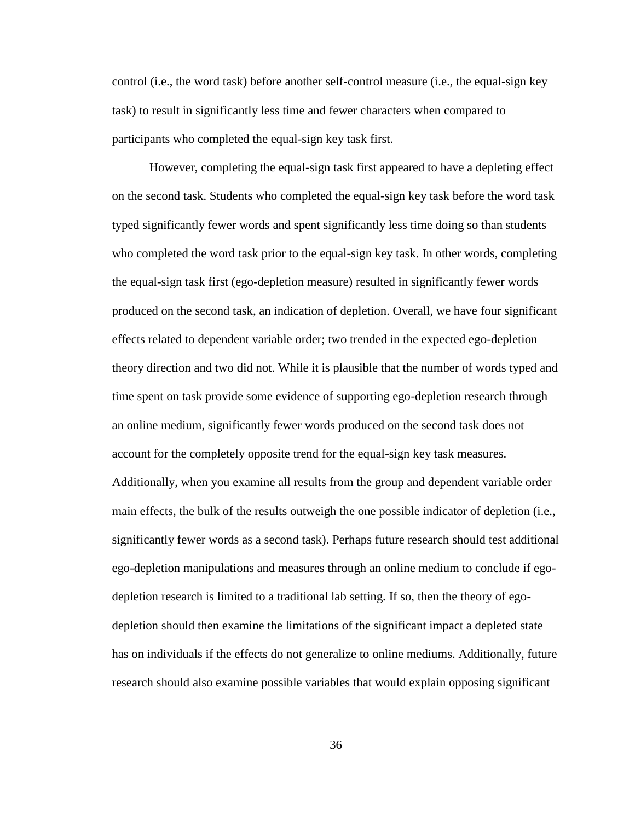control (i.e., the word task) before another self-control measure (i.e., the equal-sign key task) to result in significantly less time and fewer characters when compared to participants who completed the equal-sign key task first.

However, completing the equal-sign task first appeared to have a depleting effect on the second task. Students who completed the equal-sign key task before the word task typed significantly fewer words and spent significantly less time doing so than students who completed the word task prior to the equal-sign key task. In other words, completing the equal-sign task first (ego-depletion measure) resulted in significantly fewer words produced on the second task, an indication of depletion. Overall, we have four significant effects related to dependent variable order; two trended in the expected ego-depletion theory direction and two did not. While it is plausible that the number of words typed and time spent on task provide some evidence of supporting ego-depletion research through an online medium, significantly fewer words produced on the second task does not account for the completely opposite trend for the equal-sign key task measures. Additionally, when you examine all results from the group and dependent variable order main effects, the bulk of the results outweigh the one possible indicator of depletion (i.e., significantly fewer words as a second task). Perhaps future research should test additional ego-depletion manipulations and measures through an online medium to conclude if egodepletion research is limited to a traditional lab setting. If so, then the theory of egodepletion should then examine the limitations of the significant impact a depleted state has on individuals if the effects do not generalize to online mediums. Additionally, future research should also examine possible variables that would explain opposing significant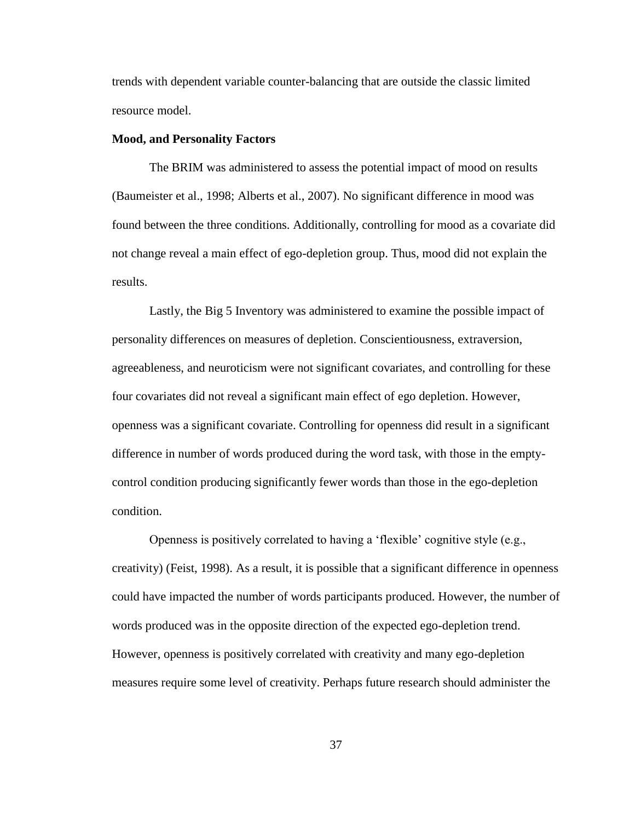trends with dependent variable counter-balancing that are outside the classic limited resource model.

#### **Mood, and Personality Factors**

The BRIM was administered to assess the potential impact of mood on results (Baumeister et al., 1998; Alberts et al., 2007). No significant difference in mood was found between the three conditions. Additionally, controlling for mood as a covariate did not change reveal a main effect of ego-depletion group. Thus, mood did not explain the results.

Lastly, the Big 5 Inventory was administered to examine the possible impact of personality differences on measures of depletion. Conscientiousness, extraversion, agreeableness, and neuroticism were not significant covariates, and controlling for these four covariates did not reveal a significant main effect of ego depletion. However, openness was a significant covariate. Controlling for openness did result in a significant difference in number of words produced during the word task, with those in the emptycontrol condition producing significantly fewer words than those in the ego-depletion condition.

Openness is positively correlated to having a 'flexible' cognitive style (e.g., creativity) (Feist, 1998). As a result, it is possible that a significant difference in openness could have impacted the number of words participants produced. However, the number of words produced was in the opposite direction of the expected ego-depletion trend. However, openness is positively correlated with creativity and many ego-depletion measures require some level of creativity. Perhaps future research should administer the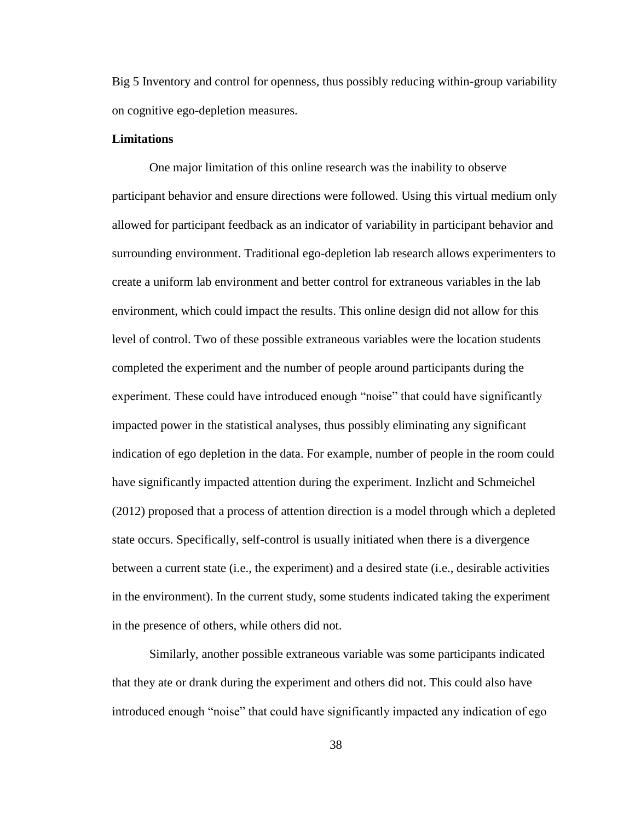Big 5 Inventory and control for openness, thus possibly reducing within-group variability on cognitive ego-depletion measures.

#### **Limitations**

One major limitation of this online research was the inability to observe participant behavior and ensure directions were followed. Using this virtual medium only allowed for participant feedback as an indicator of variability in participant behavior and surrounding environment. Traditional ego-depletion lab research allows experimenters to create a uniform lab environment and better control for extraneous variables in the lab environment, which could impact the results. This online design did not allow for this level of control. Two of these possible extraneous variables were the location students completed the experiment and the number of people around participants during the experiment. These could have introduced enough "noise" that could have significantly impacted power in the statistical analyses, thus possibly eliminating any significant indication of ego depletion in the data. For example, number of people in the room could have significantly impacted attention during the experiment. Inzlicht and Schmeichel (2012) proposed that a process of attention direction is a model through which a depleted state occurs. Specifically, self-control is usually initiated when there is a divergence between a current state (i.e., the experiment) and a desired state (i.e., desirable activities in the environment). In the current study, some students indicated taking the experiment in the presence of others, while others did not.

Similarly, another possible extraneous variable was some participants indicated that they ate or drank during the experiment and others did not. This could also have introduced enough "noise" that could have significantly impacted any indication of ego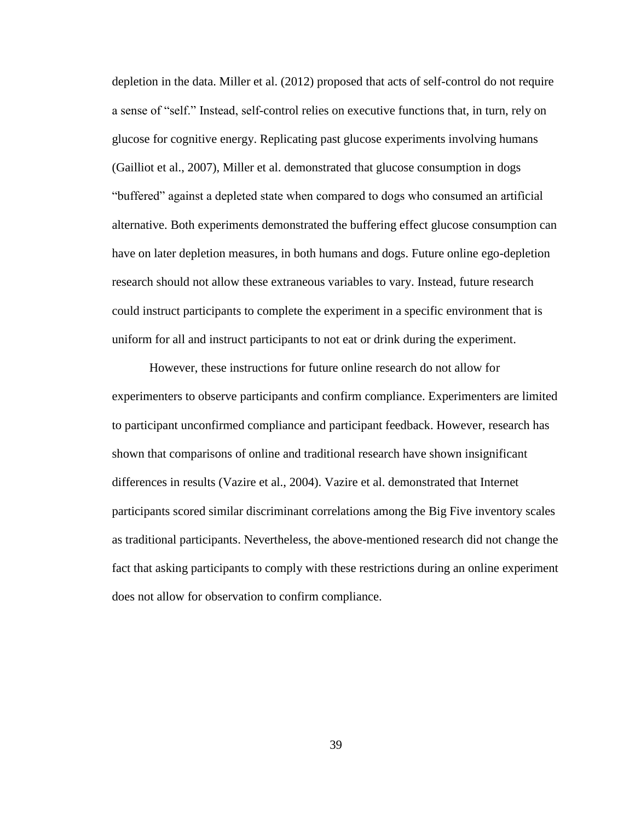depletion in the data. Miller et al. (2012) proposed that acts of self-control do not require a sense of "self." Instead, self-control relies on executive functions that, in turn, rely on glucose for cognitive energy. Replicating past glucose experiments involving humans (Gailliot et al., 2007), Miller et al. demonstrated that glucose consumption in dogs "buffered" against a depleted state when compared to dogs who consumed an artificial alternative. Both experiments demonstrated the buffering effect glucose consumption can have on later depletion measures, in both humans and dogs. Future online ego-depletion research should not allow these extraneous variables to vary. Instead, future research could instruct participants to complete the experiment in a specific environment that is uniform for all and instruct participants to not eat or drink during the experiment.

However, these instructions for future online research do not allow for experimenters to observe participants and confirm compliance. Experimenters are limited to participant unconfirmed compliance and participant feedback. However, research has shown that comparisons of online and traditional research have shown insignificant differences in results (Vazire et al., 2004). Vazire et al. demonstrated that Internet participants scored similar discriminant correlations among the Big Five inventory scales as traditional participants. Nevertheless, the above-mentioned research did not change the fact that asking participants to comply with these restrictions during an online experiment does not allow for observation to confirm compliance.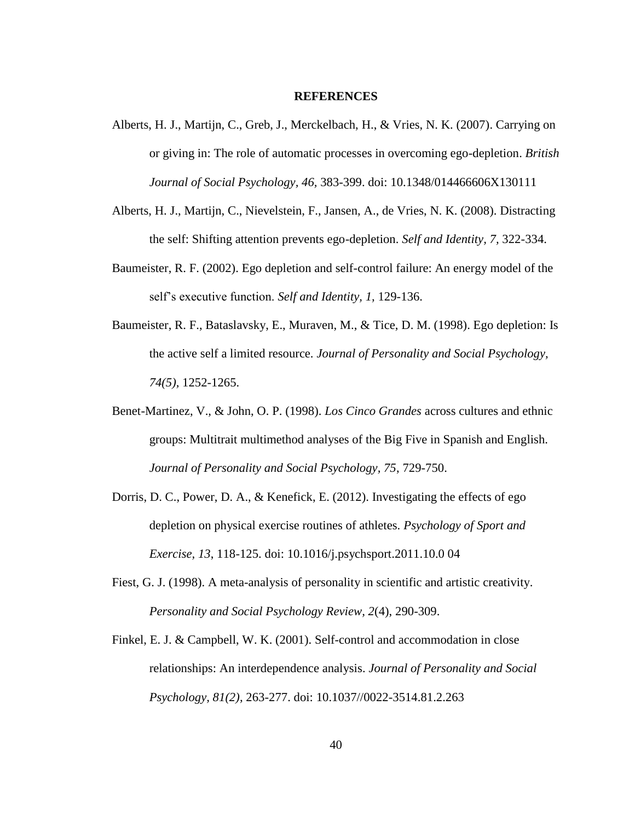#### **REFERENCES**

- Alberts, H. J., Martijn, C., Greb, J., Merckelbach, H., & Vries, N. K. (2007). Carrying on or giving in: The role of automatic processes in overcoming ego-depletion. *British Journal of Social Psychology, 46,* 383-399. doi: 10.1348/014466606X130111
- Alberts, H. J., Martijn, C., Nievelstein, F., Jansen, A., de Vries, N. K. (2008). Distracting the self: Shifting attention prevents ego-depletion. *Self and Identity, 7,* 322-334.
- Baumeister, R. F. (2002). Ego depletion and self-control failure: An energy model of the self's executive function. *Self and Identity, 1,* 129-136.
- Baumeister, R. F., Bataslavsky, E., Muraven, M., & Tice, D. M. (1998). Ego depletion: Is the active self a limited resource. *Journal of Personality and Social Psychology, 74(5),* 1252-1265.
- Benet-Martinez, V., & John, O. P. (1998). *Los Cinco Grandes* across cultures and ethnic groups: Multitrait multimethod analyses of the Big Five in Spanish and English. *Journal of Personality and Social Psychology, 75*, 729-750.
- Dorris, D. C., Power, D. A., & Kenefick, E. (2012). Investigating the effects of ego depletion on physical exercise routines of athletes. *Psychology of Sport and Exercise, 13*, 118-125. doi: 10.1016/j.psychsport.2011.10.0 04
- Fiest, G. J. (1998). A meta-analysis of personality in scientific and artistic creativity. *Personality and Social Psychology Review, 2*(4), 290-309.
- Finkel, E. J. & Campbell, W. K. (2001). Self-control and accommodation in close relationships: An interdependence analysis. *Journal of Personality and Social Psychology, 81(2),* 263-277. doi: 10.1037//0022-3514.81.2.263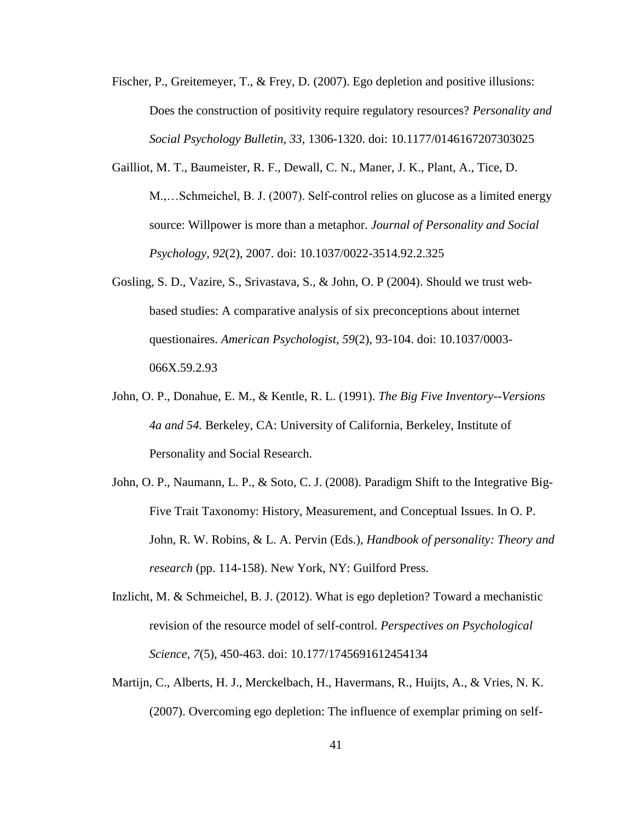- Fischer, P., Greitemeyer, T., & Frey, D. (2007). Ego depletion and positive illusions: Does the construction of positivity require regulatory resources? *Personality and Social Psychology Bulletin, 33,* 1306-1320. doi: 10.1177/0146167207303025
- Gailliot, M. T., Baumeister, R. F., Dewall, C. N., Maner, J. K., Plant, A., Tice, D. M.,…Schmeichel, B. J. (2007). Self-control relies on glucose as a limited energy source: Willpower is more than a metaphor. *Journal of Personality and Social Psychology, 92*(2), 2007. doi: 10.1037/0022-3514.92.2.325
- Gosling, S. D., Vazire, S., Srivastava, S., & John, O. P (2004). Should we trust webbased studies: A comparative analysis of six preconceptions about internet questionaires. *American Psychologist, 59*(2), 93-104. doi: 10.1037/0003- 066X.59.2.93
- John, O. P., Donahue, E. M., & Kentle, R. L. (1991). *The Big Five Inventory--Versions 4a and 54.* Berkeley, CA: University of California, Berkeley, Institute of Personality and Social Research.
- John, O. P., Naumann, L. P., & Soto, C. J. (2008). Paradigm Shift to the Integrative Big-Five Trait Taxonomy: History, Measurement, and Conceptual Issues. In O. P. John, R. W. Robins, & L. A. Pervin (Eds.), *Handbook of personality: Theory and research* (pp. 114-158). New York, NY: Guilford Press.
- Inzlicht, M. & Schmeichel, B. J. (2012). What is ego depletion? Toward a mechanistic revision of the resource model of self-control. *Perspectives on Psychological Science, 7*(5), 450-463. doi: 10.177/1745691612454134
- Martijn, C., Alberts, H. J., Merckelbach, H., Havermans, R., Huijts, A., & Vries, N. K. (2007). Overcoming ego depletion: The influence of exemplar priming on self-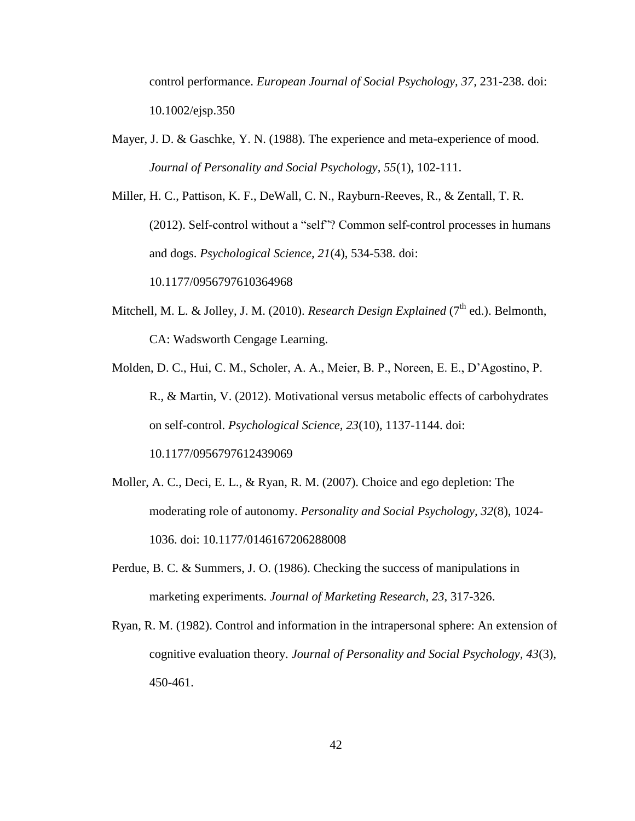control performance. *European Journal of Social Psychology, 37,* 231-238. doi: 10.1002/ejsp.350

Mayer, J. D. & Gaschke, Y. N. (1988). The experience and meta-experience of mood. *Journal of Personality and Social Psychology, 55*(1), 102-111.

Miller, H. C., Pattison, K. F., DeWall, C. N., Rayburn-Reeves, R., & Zentall, T. R. (2012). Self-control without a "self"? Common self-control processes in humans and dogs. *Psychological Science, 21*(4), 534-538. doi:

10.1177/0956797610364968

- Mitchell, M. L. & Jolley, J. M. (2010). *Research Design Explained* (7<sup>th</sup> ed.). Belmonth, CA: Wadsworth Cengage Learning.
- Molden, D. C., Hui, C. M., Scholer, A. A., Meier, B. P., Noreen, E. E., D'Agostino, P. R., & Martin, V. (2012). Motivational versus metabolic effects of carbohydrates on self-control. *Psychological Science, 23*(10), 1137-1144. doi: 10.1177/0956797612439069
- Moller, A. C., Deci, E. L., & Ryan, R. M. (2007). Choice and ego depletion: The moderating role of autonomy. *Personality and Social Psychology, 32*(8), 1024- 1036. doi: 10.1177/0146167206288008
- Perdue, B. C. & Summers, J. O. (1986). Checking the success of manipulations in marketing experiments. *Journal of Marketing Research, 23*, 317-326.
- Ryan, R. M. (1982). Control and information in the intrapersonal sphere: An extension of cognitive evaluation theory. *Journal of Personality and Social Psychology, 43*(3), 450-461.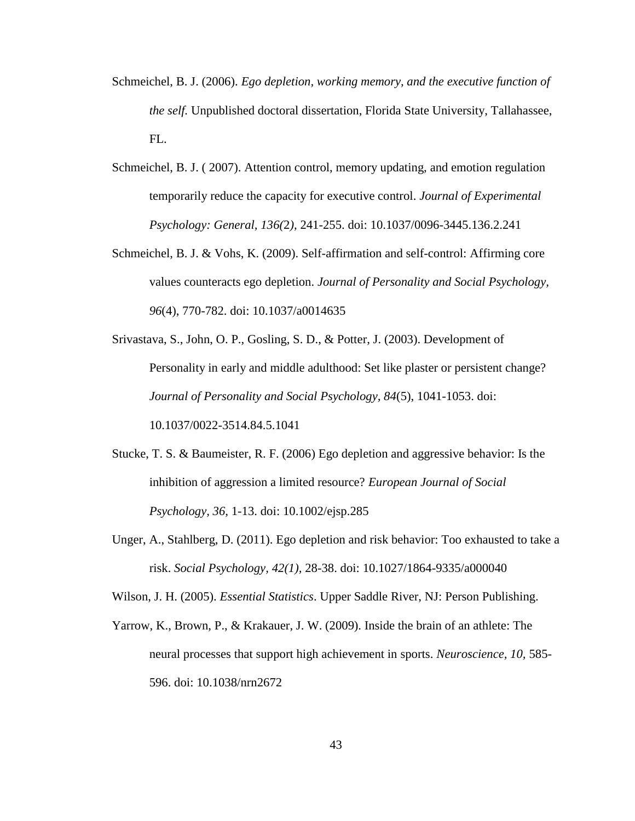- Schmeichel, B. J. (2006). *Ego depletion, working memory, and the executive function of the self.* Unpublished doctoral dissertation, Florida State University, Tallahassee, FL.
- Schmeichel, B. J. ( 2007). Attention control, memory updating, and emotion regulation temporarily reduce the capacity for executive control. *Journal of Experimental Psychology: General, 136(*2*),* 241-255. doi: 10.1037/0096-3445.136.2.241
- Schmeichel, B. J. & Vohs, K. (2009). Self-affirmation and self-control: Affirming core values counteracts ego depletion. *Journal of Personality and Social Psychology, 96*(4), 770-782. doi: 10.1037/a0014635
- Srivastava, S., John, O. P., Gosling, S. D., & Potter, J. (2003). Development of Personality in early and middle adulthood: Set like plaster or persistent change? *Journal of Personality and Social Psychology, 84*(5), 1041-1053. doi: 10.1037/0022-3514.84.5.1041
- Stucke, T. S. & Baumeister, R. F. (2006) Ego depletion and aggressive behavior: Is the inhibition of aggression a limited resource? *European Journal of Social Psychology, 36,* 1-13. doi: 10.1002/ejsp.285
- Unger, A., Stahlberg, D. (2011). Ego depletion and risk behavior: Too exhausted to take a risk. *Social Psychology, 42(1),* 28-38. doi: 10.1027/1864-9335/a000040

Wilson, J. H. (2005). *Essential Statistics*. Upper Saddle River, NJ: Person Publishing.

Yarrow, K., Brown, P., & Krakauer, J. W. (2009). Inside the brain of an athlete: The neural processes that support high achievement in sports. *Neuroscience, 10,* 585- 596. doi: 10.1038/nrn2672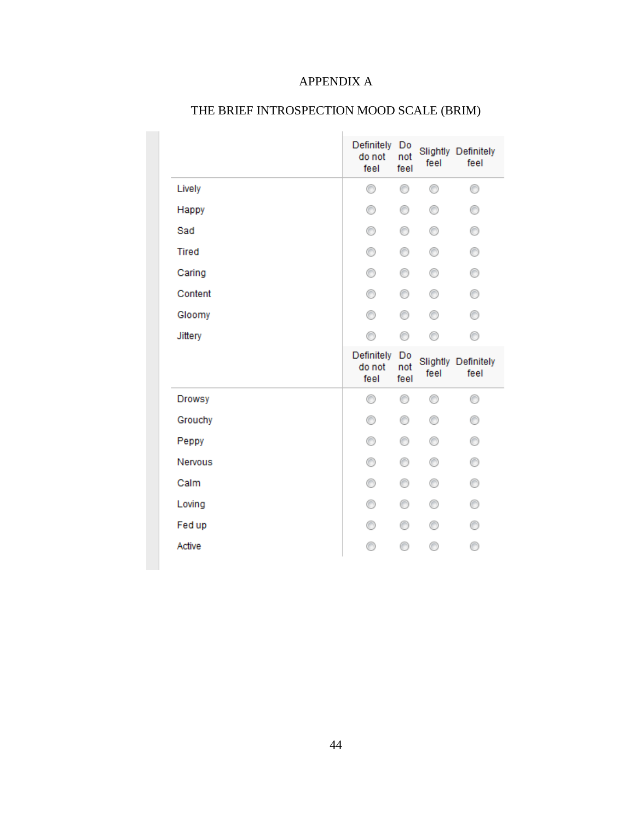### APPENDIX A

|               | Definitely<br>do not<br>feel | Do<br>not<br>feel | feel | Slightly Definitely<br>feel |
|---------------|------------------------------|-------------------|------|-----------------------------|
| Lively        | 0                            | 0                 | 0    | 0                           |
| Happy         | 0                            | ⊙                 | ⊙    | 0                           |
| Sad           | 0                            | ⊙                 | ⊙    | 0                           |
| <b>Tired</b>  | 0                            | ⊙                 | ⊙    | 0                           |
| Caring        | 0                            | ⊙                 | 0    | 0                           |
| Content       | ⊙                            | ⊙                 | ⊙    | ⊙                           |
| Gloomy        | 0                            | 0                 | ⊙    | 0                           |
| Jittery       | ⊙                            | ⊙                 | ∩    | ∩                           |
|               |                              |                   |      |                             |
|               | Definitely<br>do not<br>feel | Do<br>not<br>feel | feel | Slightly Definitely<br>feel |
| <b>Drowsy</b> | ⊙                            | ⊙                 | ⊙    | ⊙                           |
| Grouchy       | ⊙                            | ⊙                 | ⊙    | ⊙                           |
| Peppy         | 0                            | 0                 | ⊙    | 0                           |
| Nervous       | ⊙                            | ⊙                 | ⊙    | 0                           |
| Calm          | 0                            | ⊙                 | ⊙    | 0                           |
| Loving        | ⊙                            | ⊙                 | ∩    | 0                           |
| Fed up        | ⊙                            | ⊙                 | ⊙    | ⊙                           |

### THE BRIEF INTROSPECTION MOOD SCALE (BRIM)